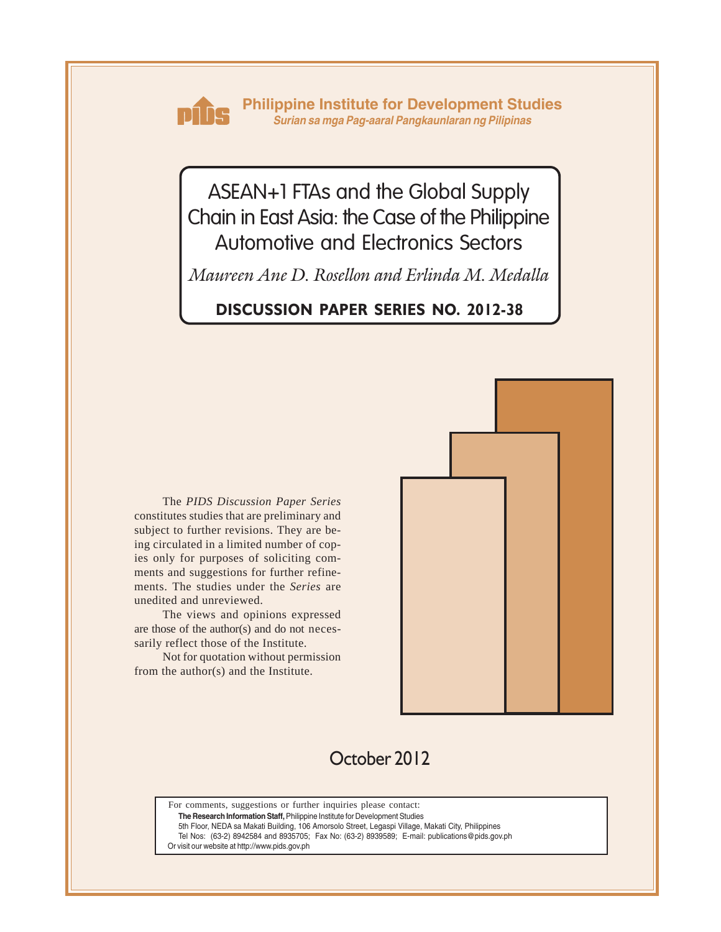

**Philippine Institute for Development Studies** *Surian sa mga Pag-aaral Pangkaunlaran ng Pilipinas*

ASEAN+1 FTAs and the Global Supply Chain in East Asia: the Case of the Philippine Automotive and Electronics Sectors

*Maureen Ane D. Rosellon and Erlinda M. Medalla*

# **DISCUSSION PAPER SERIES NO. 2012-38**

The *PIDS Discussion Paper Series* constitutes studies that are preliminary and subject to further revisions. They are being circulated in a limited number of copies only for purposes of soliciting comments and suggestions for further refinements. The studies under the *Series* are unedited and unreviewed.

The views and opinions expressed are those of the author(s) and do not necessarily reflect those of the Institute.

Not for quotation without permission from the author(s) and the Institute.



# October 2012

For comments, suggestions or further inquiries please contact:

**The Research Information Staff,** Philippine Institute for Development Studies

5th Floor, NEDA sa Makati Building, 106 Amorsolo Street, Legaspi Village, Makati City, Philippines

Tel Nos: (63-2) 8942584 and 8935705; Fax No: (63-2) 8939589; E-mail: publications@pids.gov.ph

Or visit our website at http://www.pids.gov.ph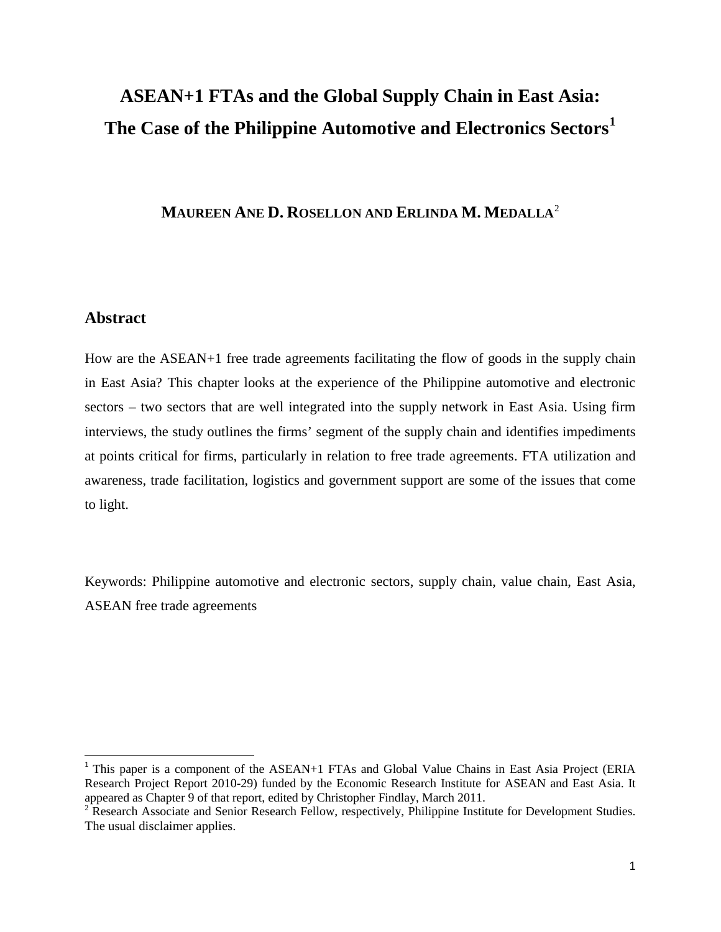# **ASEAN+1 FTAs and the Global Supply Chain in East Asia: The Case of the Philippine Automotive and Electronics Sectors[1](#page-1-0)**

# **MAUREEN ANE D. ROSELLON AND ERLINDA M. MEDALLA**[2](#page-1-1)

# **Abstract**

How are the ASEAN+1 free trade agreements facilitating the flow of goods in the supply chain in East Asia? This chapter looks at the experience of the Philippine automotive and electronic sectors – two sectors that are well integrated into the supply network in East Asia. Using firm interviews, the study outlines the firms' segment of the supply chain and identifies impediments at points critical for firms, particularly in relation to free trade agreements. FTA utilization and awareness, trade facilitation, logistics and government support are some of the issues that come to light.

Keywords: Philippine automotive and electronic sectors, supply chain, value chain, East Asia, ASEAN free trade agreements

<span id="page-1-0"></span><sup>&</sup>lt;sup>1</sup> This paper is a component of the ASEAN+1 FTAs and Global Value Chains in East Asia Project (ERIA Research Project Report 2010-29) funded by the Economic Research Institute for ASEAN and East Asia. It appeared as Chapter 9 of that report, edited by Christopher Findlay, March 2011.

<span id="page-1-1"></span><sup>&</sup>lt;sup>2</sup> Research Associate and Senior Research Fellow, respectively, Philippine Institute for Development Studies. The usual disclaimer applies.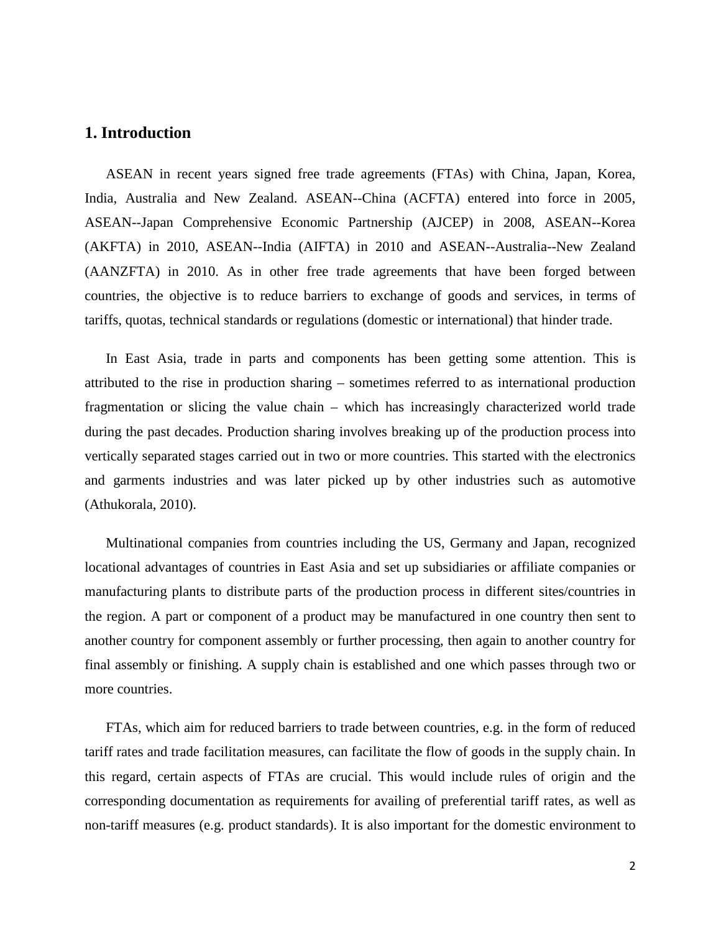# **1. Introduction**

ASEAN in recent years signed free trade agreements (FTAs) with China, Japan, Korea, India, Australia and New Zealand. ASEAN--China (ACFTA) entered into force in 2005, ASEAN--Japan Comprehensive Economic Partnership (AJCEP) in 2008, ASEAN--Korea (AKFTA) in 2010, ASEAN--India (AIFTA) in 2010 and ASEAN--Australia--New Zealand (AANZFTA) in 2010. As in other free trade agreements that have been forged between countries, the objective is to reduce barriers to exchange of goods and services, in terms of tariffs, quotas, technical standards or regulations (domestic or international) that hinder trade.

In East Asia, trade in parts and components has been getting some attention. This is attributed to the rise in production sharing – sometimes referred to as international production fragmentation or slicing the value chain – which has increasingly characterized world trade during the past decades. Production sharing involves breaking up of the production process into vertically separated stages carried out in two or more countries. This started with the electronics and garments industries and was later picked up by other industries such as automotive (Athukorala, 2010).

Multinational companies from countries including the US, Germany and Japan, recognized locational advantages of countries in East Asia and set up subsidiaries or affiliate companies or manufacturing plants to distribute parts of the production process in different sites/countries in the region. A part or component of a product may be manufactured in one country then sent to another country for component assembly or further processing, then again to another country for final assembly or finishing. A supply chain is established and one which passes through two or more countries.

FTAs, which aim for reduced barriers to trade between countries, e.g. in the form of reduced tariff rates and trade facilitation measures, can facilitate the flow of goods in the supply chain. In this regard, certain aspects of FTAs are crucial. This would include rules of origin and the corresponding documentation as requirements for availing of preferential tariff rates, as well as non-tariff measures (e.g. product standards). It is also important for the domestic environment to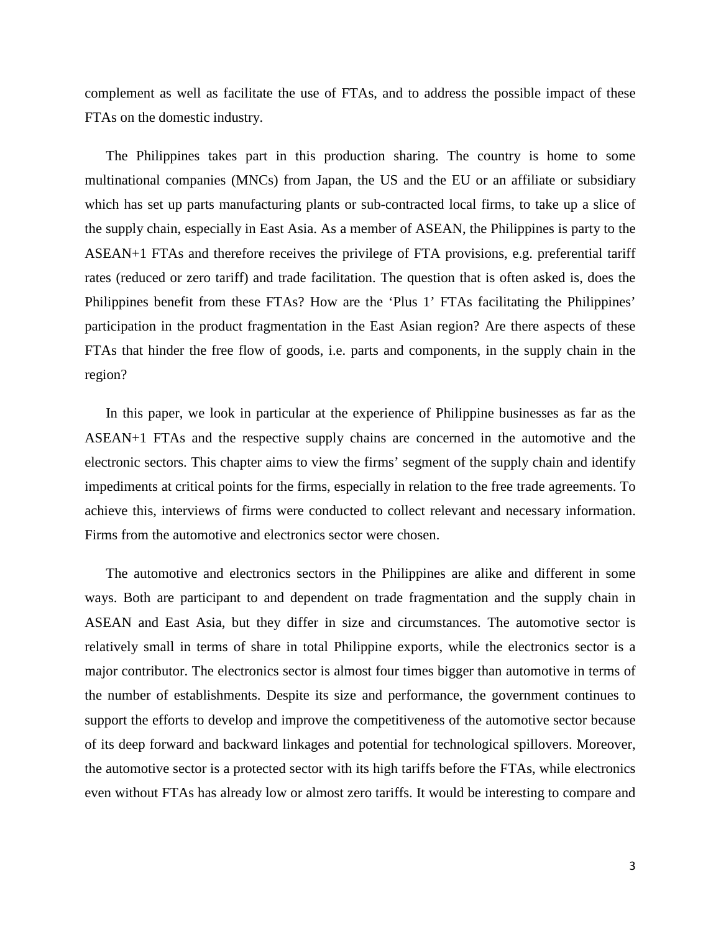complement as well as facilitate the use of FTAs, and to address the possible impact of these FTAs on the domestic industry.

The Philippines takes part in this production sharing. The country is home to some multinational companies (MNCs) from Japan, the US and the EU or an affiliate or subsidiary which has set up parts manufacturing plants or sub-contracted local firms, to take up a slice of the supply chain, especially in East Asia. As a member of ASEAN, the Philippines is party to the ASEAN+1 FTAs and therefore receives the privilege of FTA provisions, e.g. preferential tariff rates (reduced or zero tariff) and trade facilitation. The question that is often asked is, does the Philippines benefit from these FTAs? How are the 'Plus 1' FTAs facilitating the Philippines' participation in the product fragmentation in the East Asian region? Are there aspects of these FTAs that hinder the free flow of goods, i.e. parts and components, in the supply chain in the region?

In this paper, we look in particular at the experience of Philippine businesses as far as the ASEAN+1 FTAs and the respective supply chains are concerned in the automotive and the electronic sectors. This chapter aims to view the firms' segment of the supply chain and identify impediments at critical points for the firms, especially in relation to the free trade agreements. To achieve this, interviews of firms were conducted to collect relevant and necessary information. Firms from the automotive and electronics sector were chosen.

The automotive and electronics sectors in the Philippines are alike and different in some ways. Both are participant to and dependent on trade fragmentation and the supply chain in ASEAN and East Asia, but they differ in size and circumstances. The automotive sector is relatively small in terms of share in total Philippine exports, while the electronics sector is a major contributor. The electronics sector is almost four times bigger than automotive in terms of the number of establishments. Despite its size and performance, the government continues to support the efforts to develop and improve the competitiveness of the automotive sector because of its deep forward and backward linkages and potential for technological spillovers. Moreover, the automotive sector is a protected sector with its high tariffs before the FTAs, while electronics even without FTAs has already low or almost zero tariffs. It would be interesting to compare and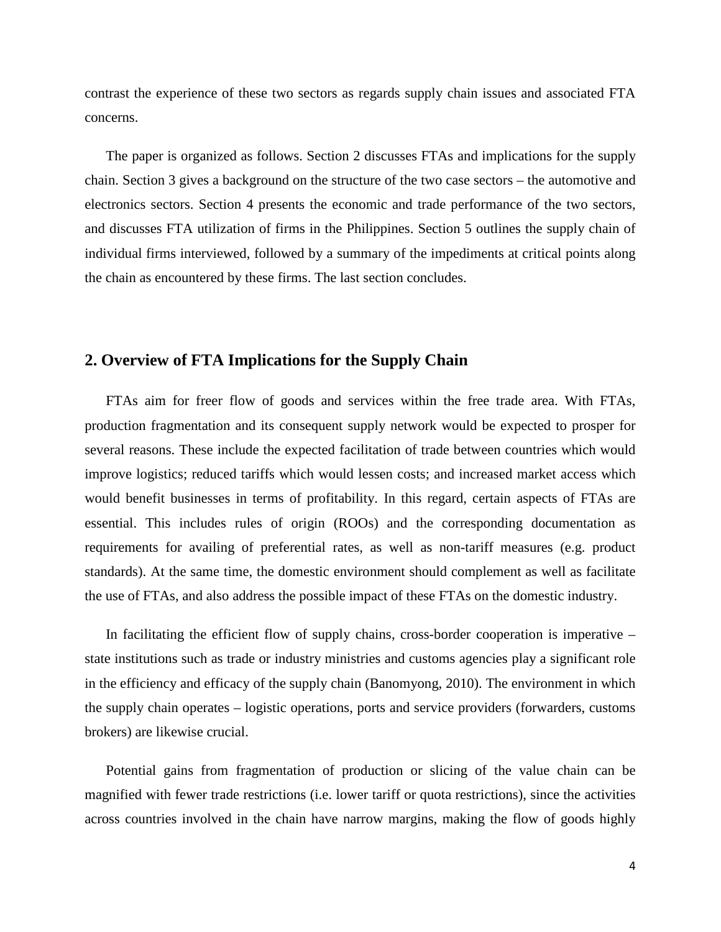contrast the experience of these two sectors as regards supply chain issues and associated FTA concerns.

The paper is organized as follows. Section 2 discusses FTAs and implications for the supply chain. Section 3 gives a background on the structure of the two case sectors – the automotive and electronics sectors. Section 4 presents the economic and trade performance of the two sectors, and discusses FTA utilization of firms in the Philippines. Section 5 outlines the supply chain of individual firms interviewed, followed by a summary of the impediments at critical points along the chain as encountered by these firms. The last section concludes.

# **2. Overview of FTA Implications for the Supply Chain**

FTAs aim for freer flow of goods and services within the free trade area. With FTAs, production fragmentation and its consequent supply network would be expected to prosper for several reasons. These include the expected facilitation of trade between countries which would improve logistics; reduced tariffs which would lessen costs; and increased market access which would benefit businesses in terms of profitability. In this regard, certain aspects of FTAs are essential. This includes rules of origin (ROOs) and the corresponding documentation as requirements for availing of preferential rates, as well as non-tariff measures (e.g. product standards). At the same time, the domestic environment should complement as well as facilitate the use of FTAs, and also address the possible impact of these FTAs on the domestic industry.

In facilitating the efficient flow of supply chains, cross-border cooperation is imperative – state institutions such as trade or industry ministries and customs agencies play a significant role in the efficiency and efficacy of the supply chain (Banomyong, 2010). The environment in which the supply chain operates – logistic operations, ports and service providers (forwarders, customs brokers) are likewise crucial.

Potential gains from fragmentation of production or slicing of the value chain can be magnified with fewer trade restrictions (i.e. lower tariff or quota restrictions), since the activities across countries involved in the chain have narrow margins, making the flow of goods highly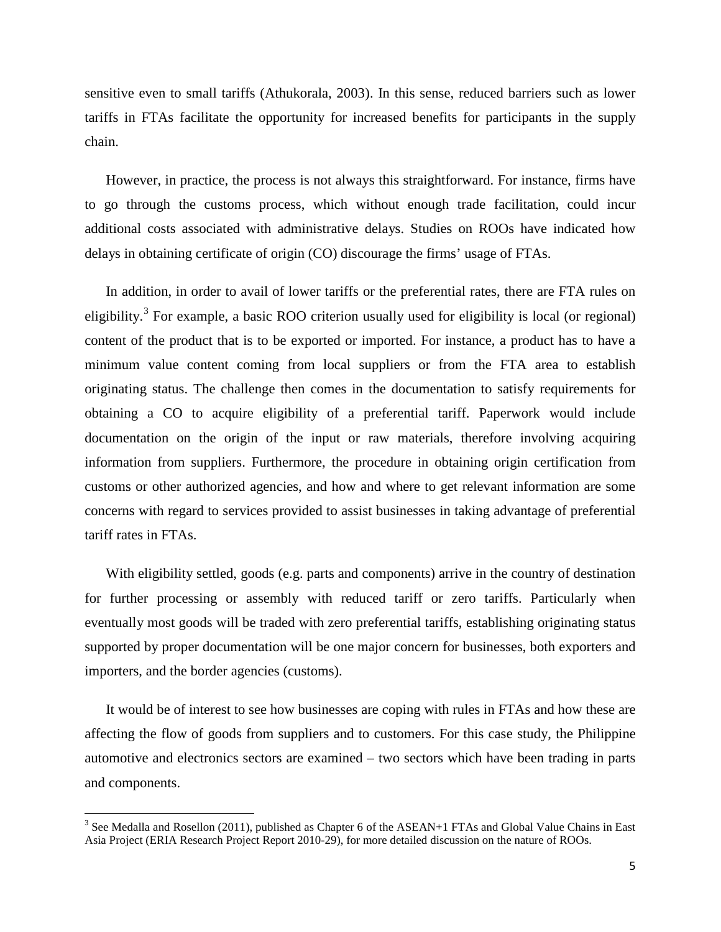sensitive even to small tariffs (Athukorala, 2003). In this sense, reduced barriers such as lower tariffs in FTAs facilitate the opportunity for increased benefits for participants in the supply chain.

However, in practice, the process is not always this straightforward. For instance, firms have to go through the customs process, which without enough trade facilitation, could incur additional costs associated with administrative delays. Studies on ROOs have indicated how delays in obtaining certificate of origin (CO) discourage the firms' usage of FTAs.

In addition, in order to avail of lower tariffs or the preferential rates, there are FTA rules on eligibility.<sup>[3](#page-5-0)</sup> For example, a basic ROO criterion usually used for eligibility is local (or regional) content of the product that is to be exported or imported. For instance, a product has to have a minimum value content coming from local suppliers or from the FTA area to establish originating status. The challenge then comes in the documentation to satisfy requirements for obtaining a CO to acquire eligibility of a preferential tariff. Paperwork would include documentation on the origin of the input or raw materials, therefore involving acquiring information from suppliers. Furthermore, the procedure in obtaining origin certification from customs or other authorized agencies, and how and where to get relevant information are some concerns with regard to services provided to assist businesses in taking advantage of preferential tariff rates in FTAs.

With eligibility settled, goods (e.g. parts and components) arrive in the country of destination for further processing or assembly with reduced tariff or zero tariffs. Particularly when eventually most goods will be traded with zero preferential tariffs, establishing originating status supported by proper documentation will be one major concern for businesses, both exporters and importers, and the border agencies (customs).

It would be of interest to see how businesses are coping with rules in FTAs and how these are affecting the flow of goods from suppliers and to customers. For this case study, the Philippine automotive and electronics sectors are examined – two sectors which have been trading in parts and components.

ı

<span id="page-5-0"></span><sup>&</sup>lt;sup>3</sup> See Medalla and Rosellon (2011), published as Chapter 6 of the ASEAN+1 FTAs and Global Value Chains in East Asia Project (ERIA Research Project Report 2010-29), for more detailed discussion on the nature of ROOs.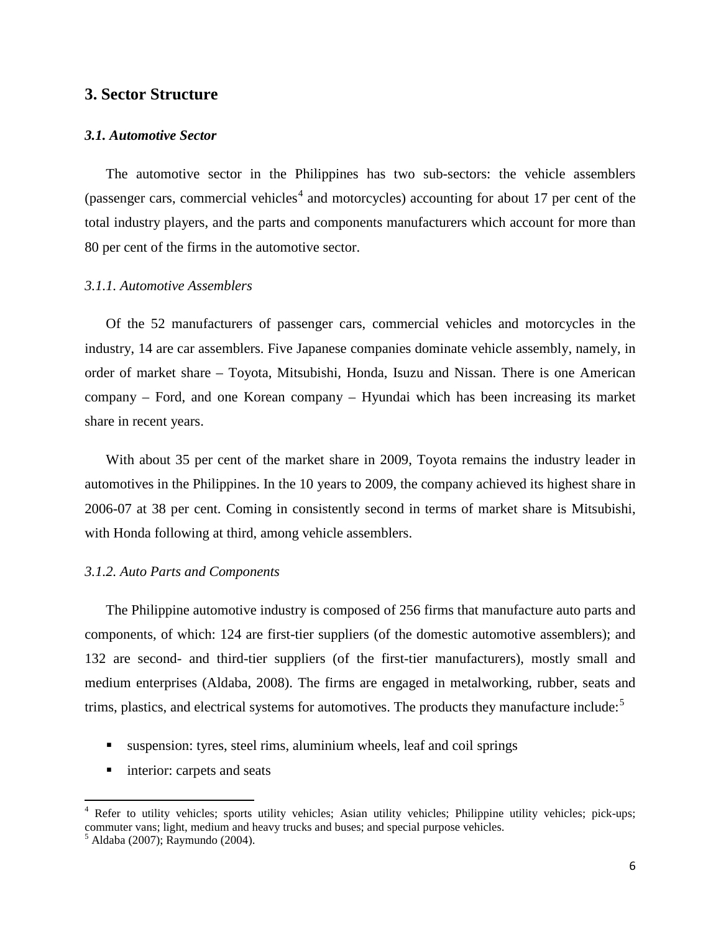# **3. Sector Structure**

#### *3.1. Automotive Sector*

The automotive sector in the Philippines has two sub-sectors: the vehicle assemblers (passenger cars, commercial vehicles<sup>[4](#page-6-0)</sup> and motorcycles) accounting for about 17 per cent of the total industry players, and the parts and components manufacturers which account for more than 80 per cent of the firms in the automotive sector.

#### *3.1.1. Automotive Assemblers*

Of the 52 manufacturers of passenger cars, commercial vehicles and motorcycles in the industry, 14 are car assemblers. Five Japanese companies dominate vehicle assembly, namely, in order of market share – Toyota, Mitsubishi, Honda, Isuzu and Nissan. There is one American company – Ford, and one Korean company – Hyundai which has been increasing its market share in recent years.

With about 35 per cent of the market share in 2009, Toyota remains the industry leader in automotives in the Philippines. In the 10 years to 2009, the company achieved its highest share in 2006-07 at 38 per cent. Coming in consistently second in terms of market share is Mitsubishi, with Honda following at third, among vehicle assemblers.

#### *3.1.2. Auto Parts and Components*

The Philippine automotive industry is composed of 256 firms that manufacture auto parts and components, of which: 124 are first-tier suppliers (of the domestic automotive assemblers); and 132 are second- and third-tier suppliers (of the first-tier manufacturers), mostly small and medium enterprises (Aldaba, 2008). The firms are engaged in metalworking, rubber, seats and trims, plastics, and electrical systems for automotives. The products they manufacture include:<sup>[5](#page-6-0)</sup>

- suspension: tyres, steel rims, aluminium wheels, leaf and coil springs
- **n** interior: carpets and seats

 $\overline{\phantom{0}}$ 

<span id="page-6-0"></span><sup>4</sup> Refer to utility vehicles; sports utility vehicles; Asian utility vehicles; Philippine utility vehicles; pick-ups; commuter vans; light, medium and heavy trucks and buses; and special purpose vehicles.

<sup>5</sup> Aldaba (2007); Raymundo (2004).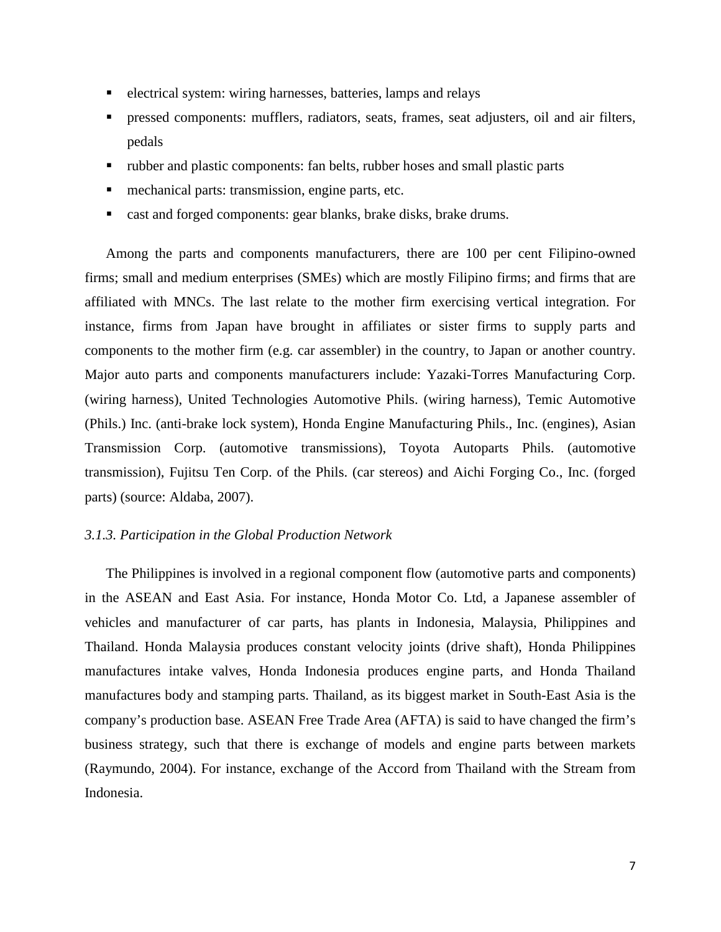- electrical system: wiring harnesses, batteries, lamps and relays
- pressed components: mufflers, radiators, seats, frames, seat adjusters, oil and air filters, pedals
- rubber and plastic components: fan belts, rubber hoses and small plastic parts
- mechanical parts: transmission, engine parts, etc.
- cast and forged components: gear blanks, brake disks, brake drums.

Among the parts and components manufacturers, there are 100 per cent Filipino-owned firms; small and medium enterprises (SMEs) which are mostly Filipino firms; and firms that are affiliated with MNCs. The last relate to the mother firm exercising vertical integration. For instance, firms from Japan have brought in affiliates or sister firms to supply parts and components to the mother firm (e.g. car assembler) in the country, to Japan or another country. Major auto parts and components manufacturers include: Yazaki-Torres Manufacturing Corp. (wiring harness), United Technologies Automotive Phils. (wiring harness), Temic Automotive (Phils.) Inc. (anti-brake lock system), Honda Engine Manufacturing Phils., Inc. (engines), Asian Transmission Corp. (automotive transmissions), Toyota Autoparts Phils. (automotive transmission), Fujitsu Ten Corp. of the Phils. (car stereos) and Aichi Forging Co., Inc. (forged parts) (source: Aldaba, 2007).

#### *3.1.3. Participation in the Global Production Network*

The Philippines is involved in a regional component flow (automotive parts and components) in the ASEAN and East Asia. For instance, Honda Motor Co. Ltd, a Japanese assembler of vehicles and manufacturer of car parts, has plants in Indonesia, Malaysia, Philippines and Thailand. Honda Malaysia produces constant velocity joints (drive shaft), Honda Philippines manufactures intake valves, Honda Indonesia produces engine parts, and Honda Thailand manufactures body and stamping parts. Thailand, as its biggest market in South-East Asia is the company's production base. ASEAN Free Trade Area (AFTA) is said to have changed the firm's business strategy, such that there is exchange of models and engine parts between markets (Raymundo, 2004). For instance, exchange of the Accord from Thailand with the Stream from Indonesia.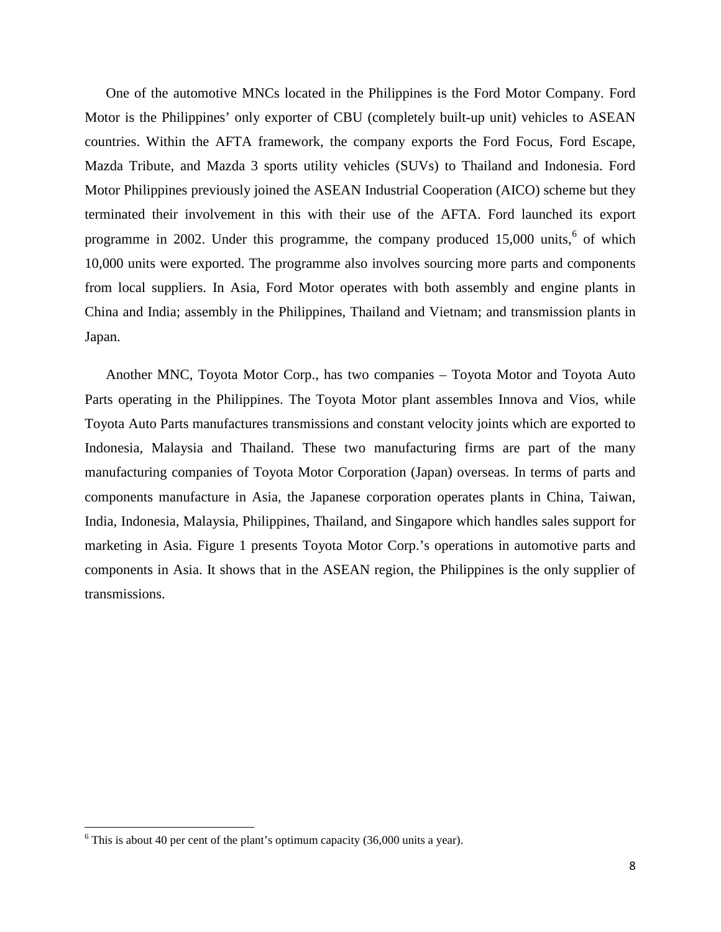One of the automotive MNCs located in the Philippines is the Ford Motor Company. Ford Motor is the Philippines' only exporter of CBU (completely built-up unit) vehicles to ASEAN countries. Within the AFTA framework, the company exports the Ford Focus, Ford Escape, Mazda Tribute, and Mazda 3 sports utility vehicles (SUVs) to Thailand and Indonesia. Ford Motor Philippines previously joined the ASEAN Industrial Cooperation (AICO) scheme but they terminated their involvement in this with their use of the AFTA. Ford launched its export programme in 2002. Under this programme, the company produced  $15,000$  units,<sup>[6](#page-8-0)</sup> of which 10,000 units were exported. The programme also involves sourcing more parts and components from local suppliers. In Asia, Ford Motor operates with both assembly and engine plants in China and India; assembly in the Philippines, Thailand and Vietnam; and transmission plants in Japan.

Another MNC, Toyota Motor Corp., has two companies – Toyota Motor and Toyota Auto Parts operating in the Philippines. The Toyota Motor plant assembles Innova and Vios, while Toyota Auto Parts manufactures transmissions and constant velocity joints which are exported to Indonesia, Malaysia and Thailand. These two manufacturing firms are part of the many manufacturing companies of Toyota Motor Corporation (Japan) overseas. In terms of parts and components manufacture in Asia, the Japanese corporation operates plants in China, Taiwan, India, Indonesia, Malaysia, Philippines, Thailand, and Singapore which handles sales support for marketing in Asia. Figure 1 presents Toyota Motor Corp.'s operations in automotive parts and components in Asia. It shows that in the ASEAN region, the Philippines is the only supplier of transmissions.

l

<span id="page-8-0"></span> $6$  This is about 40 per cent of the plant's optimum capacity (36,000 units a year).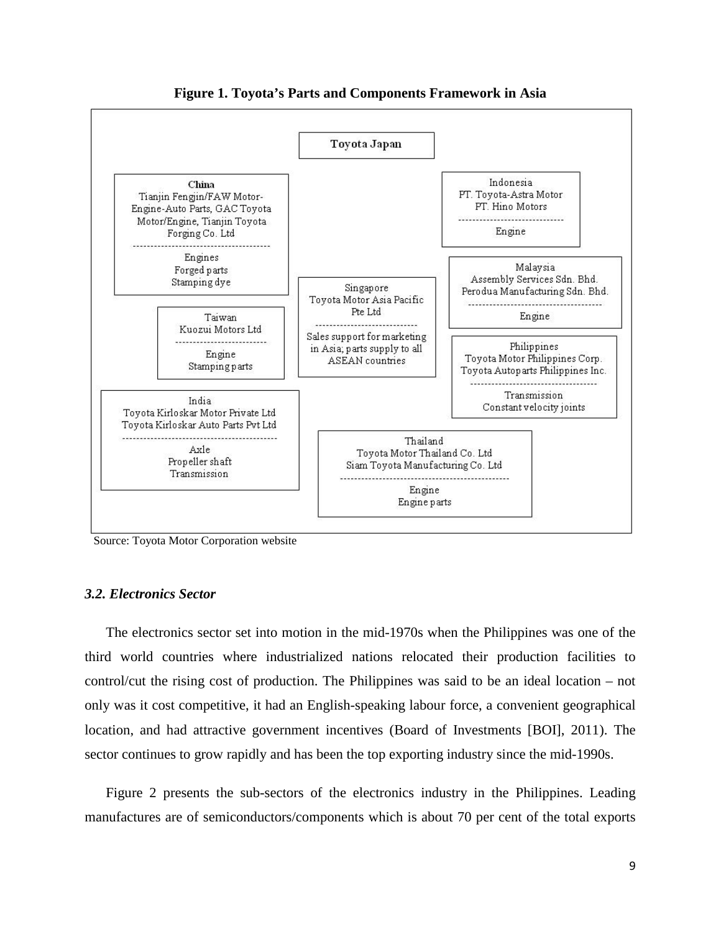

**Figure 1. Toyota's Parts and Components Framework in Asia**

Source: Toyota Motor Corporation website

#### *3.2. Electronics Sector*

The electronics sector set into motion in the mid-1970s when the Philippines was one of the third world countries where industrialized nations relocated their production facilities to control/cut the rising cost of production. The Philippines was said to be an ideal location – not only was it cost competitive, it had an English-speaking labour force, a convenient geographical location, and had attractive government incentives (Board of Investments [BOI], 2011). The sector continues to grow rapidly and has been the top exporting industry since the mid-1990s.

Figure 2 presents the sub-sectors of the electronics industry in the Philippines. Leading manufactures are of semiconductors/components which is about 70 per cent of the total exports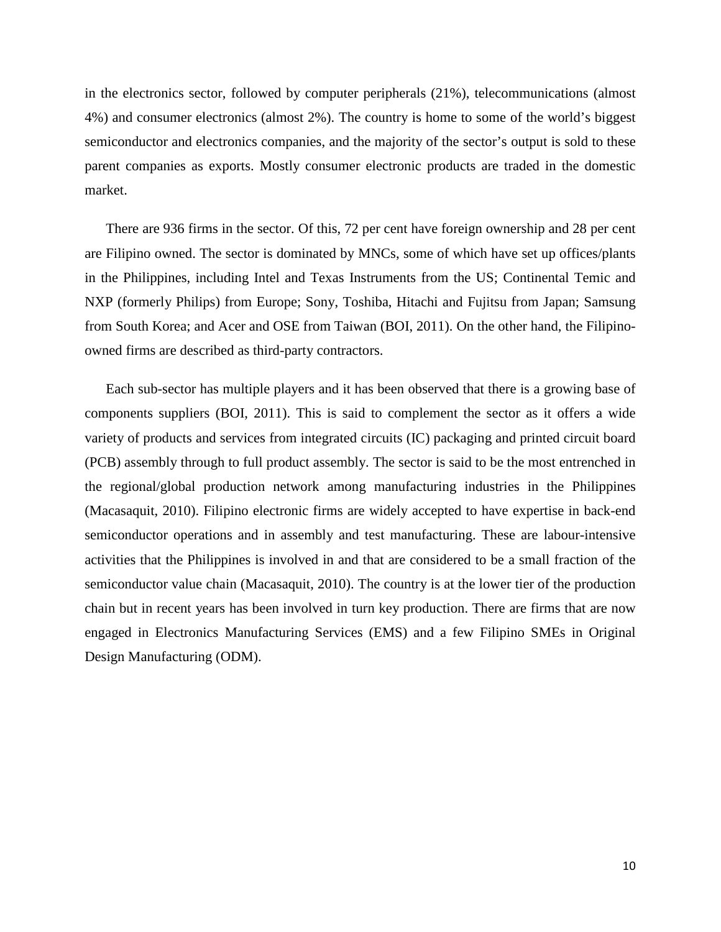in the electronics sector, followed by computer peripherals (21%), telecommunications (almost 4%) and consumer electronics (almost 2%). The country is home to some of the world's biggest semiconductor and electronics companies, and the majority of the sector's output is sold to these parent companies as exports. Mostly consumer electronic products are traded in the domestic market.

There are 936 firms in the sector. Of this, 72 per cent have foreign ownership and 28 per cent are Filipino owned. The sector is dominated by MNCs, some of which have set up offices/plants in the Philippines, including Intel and Texas Instruments from the US; Continental Temic and NXP (formerly Philips) from Europe; Sony, Toshiba, Hitachi and Fujitsu from Japan; Samsung from South Korea; and Acer and OSE from Taiwan (BOI, 2011). On the other hand, the Filipinoowned firms are described as third-party contractors.

Each sub-sector has multiple players and it has been observed that there is a growing base of components suppliers (BOI, 2011). This is said to complement the sector as it offers a wide variety of products and services from integrated circuits (IC) packaging and printed circuit board (PCB) assembly through to full product assembly. The sector is said to be the most entrenched in the regional/global production network among manufacturing industries in the Philippines (Macasaquit, 2010). Filipino electronic firms are widely accepted to have expertise in back-end semiconductor operations and in assembly and test manufacturing. These are labour-intensive activities that the Philippines is involved in and that are considered to be a small fraction of the semiconductor value chain (Macasaquit, 2010). The country is at the lower tier of the production chain but in recent years has been involved in turn key production. There are firms that are now engaged in Electronics Manufacturing Services (EMS) and a few Filipino SMEs in Original Design Manufacturing (ODM).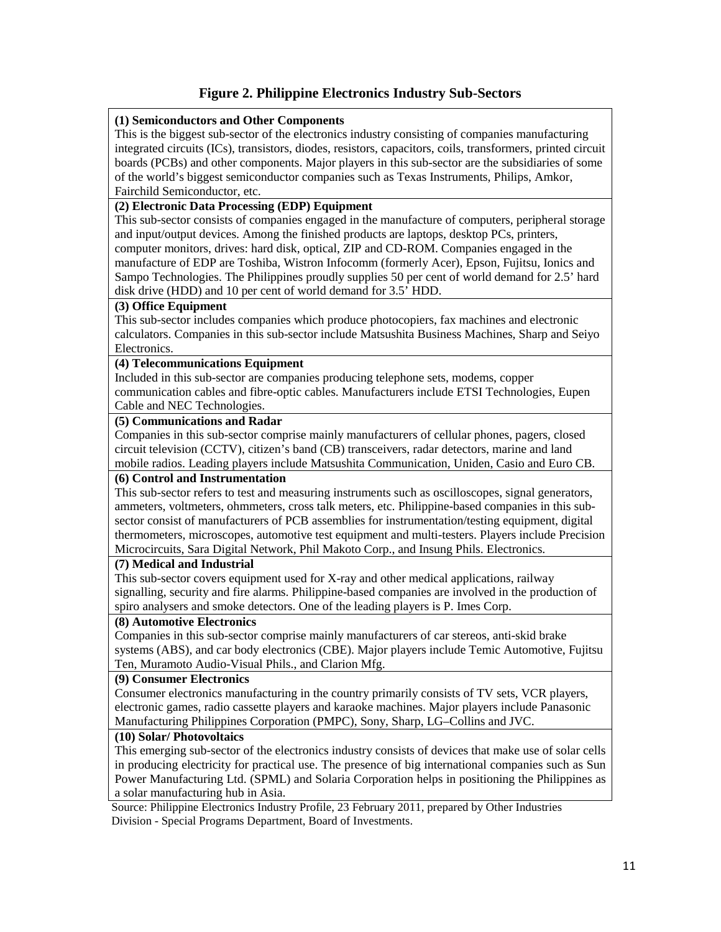# **Figure 2. Philippine Electronics Industry Sub-Sectors**

#### **(1) Semiconductors and Other Components**

This is the biggest sub-sector of the electronics industry consisting of companies manufacturing integrated circuits (ICs), transistors, diodes, resistors, capacitors, coils, transformers, printed circuit boards (PCBs) and other components. Major players in this sub-sector are the subsidiaries of some of the world's biggest semiconductor companies such as Texas Instruments, Philips, Amkor, Fairchild Semiconductor, etc.

### **(2) Electronic Data Processing (EDP) Equipment**

This sub-sector consists of companies engaged in the manufacture of computers, peripheral storage and input/output devices. Among the finished products are laptops, desktop PCs, printers, computer monitors, drives: hard disk, optical, ZIP and CD-ROM. Companies engaged in the manufacture of EDP are Toshiba, Wistron Infocomm (formerly Acer), Epson, Fujitsu, Ionics and Sampo Technologies. The Philippines proudly supplies 50 per cent of world demand for 2.5' hard disk drive (HDD) and 10 per cent of world demand for 3.5' HDD.

#### **(3) Office Equipment**

This sub-sector includes companies which produce photocopiers, fax machines and electronic calculators. Companies in this sub-sector include Matsushita Business Machines, Sharp and Seiyo Electronics.

#### **(4) Telecommunications Equipment**

Included in this sub-sector are companies producing telephone sets, modems, copper communication cables and fibre-optic cables. Manufacturers include ETSI Technologies, Eupen Cable and NEC Technologies.

# **(5) Communications and Radar**

Companies in this sub-sector comprise mainly manufacturers of cellular phones, pagers, closed circuit television (CCTV), citizen's band (CB) transceivers, radar detectors, marine and land mobile radios. Leading players include Matsushita Communication, Uniden, Casio and Euro CB.

#### **(6) Control and Instrumentation**

This sub-sector refers to test and measuring instruments such as oscilloscopes, signal generators, ammeters, voltmeters, ohmmeters, cross talk meters, etc. Philippine-based companies in this subsector consist of manufacturers of PCB assemblies for instrumentation/testing equipment, digital thermometers, microscopes, automotive test equipment and multi-testers. Players include Precision Microcircuits, Sara Digital Network, Phil Makoto Corp., and Insung Phils. Electronics.

#### **(7) Medical and Industrial**

This sub-sector covers equipment used for X-ray and other medical applications, railway signalling, security and fire alarms. Philippine-based companies are involved in the production of spiro analysers and smoke detectors. One of the leading players is P. Imes Corp.

#### **(8) Automotive Electronics**

Companies in this sub-sector comprise mainly manufacturers of car stereos, anti-skid brake systems (ABS), and car body electronics (CBE). Major players include Temic Automotive, Fujitsu Ten, Muramoto Audio-Visual Phils., and Clarion Mfg.

#### **(9) Consumer Electronics**

Consumer electronics manufacturing in the country primarily consists of TV sets, VCR players, electronic games, radio cassette players and karaoke machines. Major players include Panasonic Manufacturing Philippines Corporation (PMPC), Sony, Sharp, LG–Collins and JVC.

#### **(10) Solar/ Photovoltaics**

This emerging sub-sector of the electronics industry consists of devices that make use of solar cells in producing electricity for practical use. The presence of big international companies such as Sun Power Manufacturing Ltd. (SPML) and Solaria Corporation helps in positioning the Philippines as a solar manufacturing hub in Asia.

 Source: Philippine Electronics Industry Profile, 23 February 2011, prepared by Other Industries Division - Special Programs Department, Board of Investments.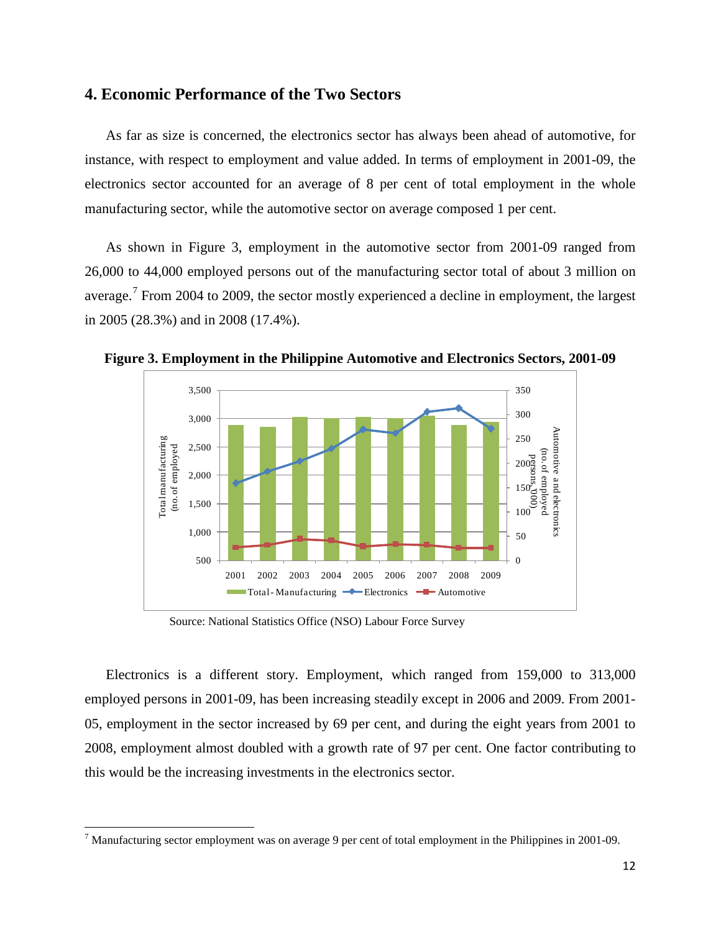# **4. Economic Performance of the Two Sectors**

As far as size is concerned, the electronics sector has always been ahead of automotive, for instance, with respect to employment and value added. In terms of employment in 2001-09, the electronics sector accounted for an average of 8 per cent of total employment in the whole manufacturing sector, while the automotive sector on average composed 1 per cent.

As shown in Figure 3, employment in the automotive sector from 2001-09 ranged from 26,000 to 44,000 employed persons out of the manufacturing sector total of about 3 million on average.<sup>[7](#page-12-0)</sup> From 2004 to 2009, the sector mostly experienced a decline in employment, the largest in 2005 (28.3%) and in 2008 (17.4%).



**Figure 3. Employment in the Philippine Automotive and Electronics Sectors, 2001-09**

Source: National Statistics Office (NSO) Labour Force Survey

Electronics is a different story. Employment, which ranged from 159,000 to 313,000 employed persons in 2001-09, has been increasing steadily except in 2006 and 2009. From 2001- 05, employment in the sector increased by 69 per cent, and during the eight years from 2001 to 2008, employment almost doubled with a growth rate of 97 per cent. One factor contributing to this would be the increasing investments in the electronics sector.

l

<span id="page-12-0"></span><sup>7</sup> Manufacturing sector employment was on average 9 per cent of total employment in the Philippines in 2001-09.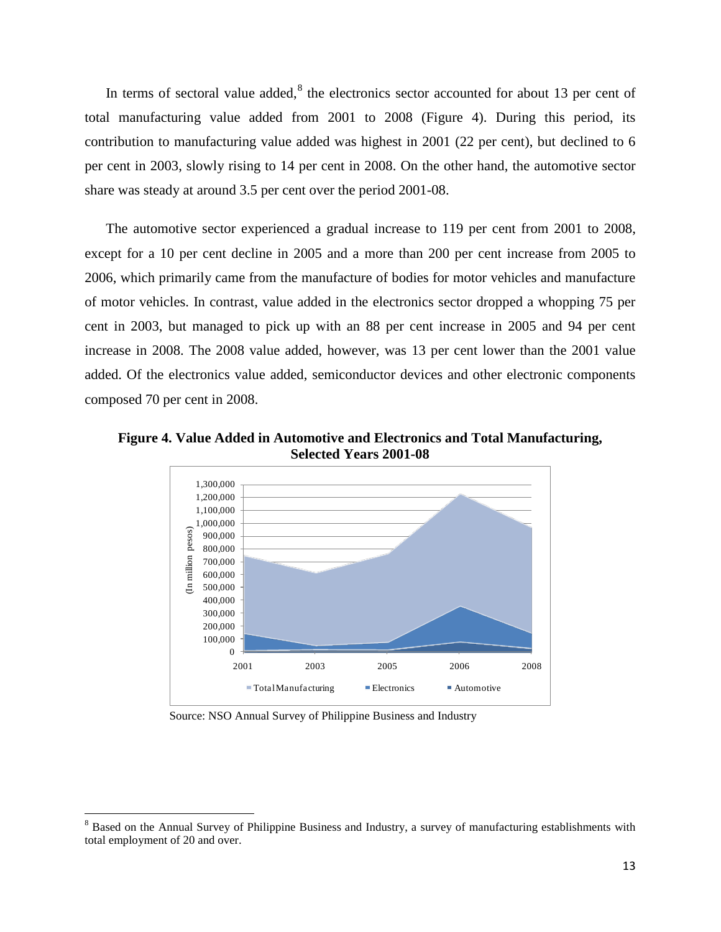In terms of sectoral value added, $8$  the electronics sector accounted for about 13 per cent of total manufacturing value added from 2001 to 2008 (Figure 4). During this period, its contribution to manufacturing value added was highest in 2001 (22 per cent), but declined to 6 per cent in 2003, slowly rising to 14 per cent in 2008. On the other hand, the automotive sector share was steady at around 3.5 per cent over the period 2001-08.

The automotive sector experienced a gradual increase to 119 per cent from 2001 to 2008, except for a 10 per cent decline in 2005 and a more than 200 per cent increase from 2005 to 2006, which primarily came from the manufacture of bodies for motor vehicles and manufacture of motor vehicles. In contrast, value added in the electronics sector dropped a whopping 75 per cent in 2003, but managed to pick up with an 88 per cent increase in 2005 and 94 per cent increase in 2008. The 2008 value added, however, was 13 per cent lower than the 2001 value added. Of the electronics value added, semiconductor devices and other electronic components composed 70 per cent in 2008.



**Figure 4. Value Added in Automotive and Electronics and Total Manufacturing, Selected Years 2001-08**

Source: NSO Annual Survey of Philippine Business and Industry

ı

<span id="page-13-0"></span><sup>&</sup>lt;sup>8</sup> Based on the Annual Survey of Philippine Business and Industry, a survey of manufacturing establishments with total employment of 20 and over.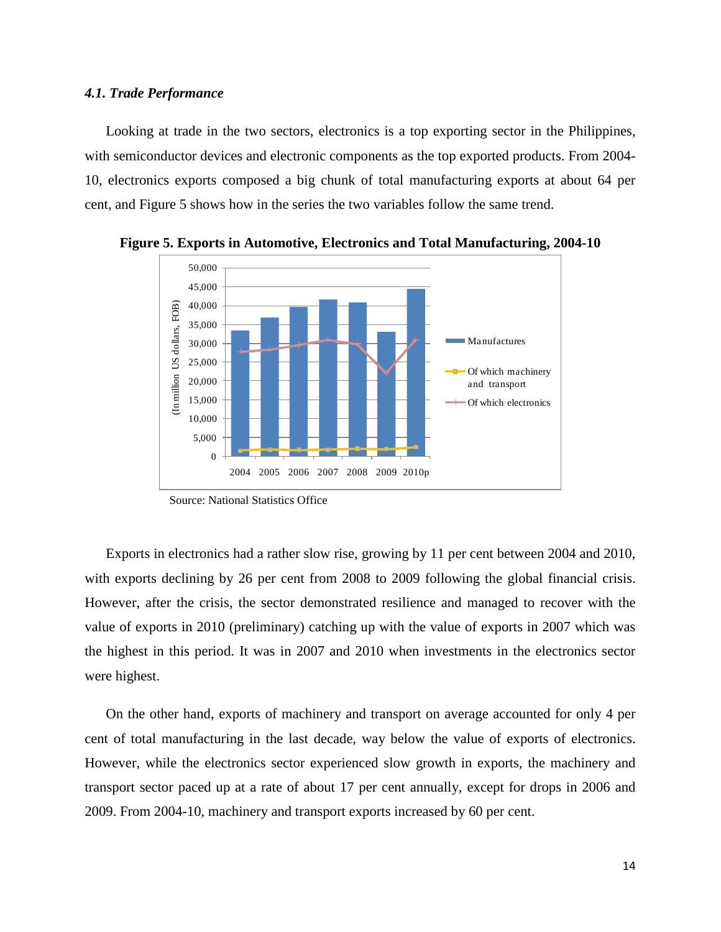#### *4.1. Trade Performance*

Looking at trade in the two sectors, electronics is a top exporting sector in the Philippines, with semiconductor devices and electronic components as the top exported products. From 2004- 10, electronics exports composed a big chunk of total manufacturing exports at about 64 per cent, and Figure 5 shows how in the series the two variables follow the same trend.



**Figure 5. Exports in Automotive, Electronics and Total Manufacturing, 2004-10**

Exports in electronics had a rather slow rise, growing by 11 per cent between 2004 and 2010, with exports declining by 26 per cent from 2008 to 2009 following the global financial crisis. However, after the crisis, the sector demonstrated resilience and managed to recover with the value of exports in 2010 (preliminary) catching up with the value of exports in 2007 which was the highest in this period. It was in 2007 and 2010 when investments in the electronics sector were highest.

On the other hand, exports of machinery and transport on average accounted for only 4 per cent of total manufacturing in the last decade, way below the value of exports of electronics. However, while the electronics sector experienced slow growth in exports, the machinery and transport sector paced up at a rate of about 17 per cent annually, except for drops in 2006 and 2009. From 2004-10, machinery and transport exports increased by 60 per cent.

Source: National Statistics Office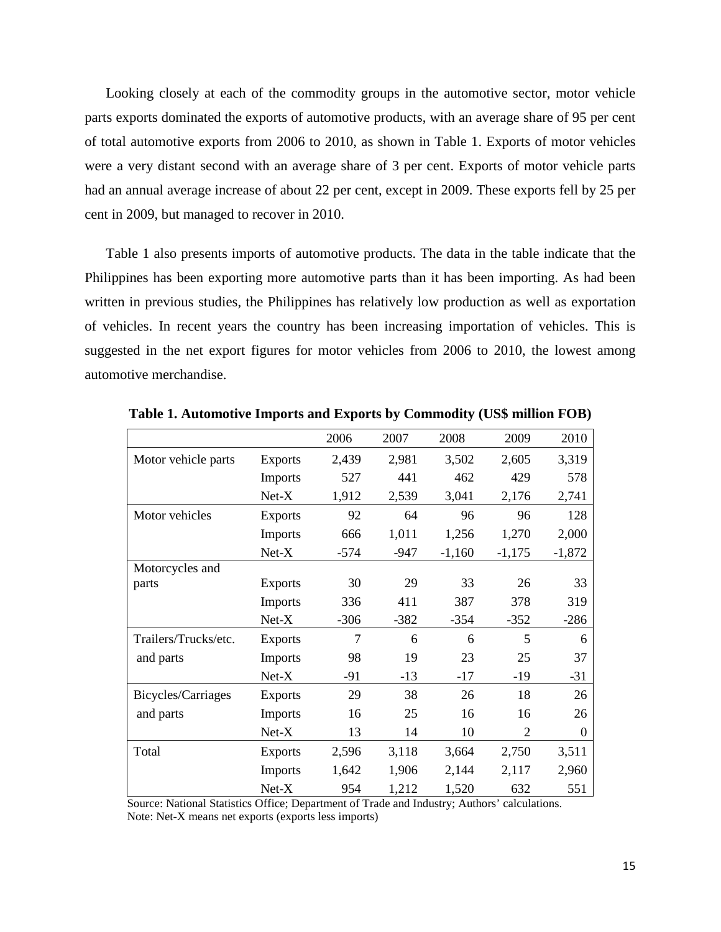Looking closely at each of the commodity groups in the automotive sector, motor vehicle parts exports dominated the exports of automotive products, with an average share of 95 per cent of total automotive exports from 2006 to 2010, as shown in Table 1. Exports of motor vehicles were a very distant second with an average share of 3 per cent. Exports of motor vehicle parts had an annual average increase of about 22 per cent, except in 2009. These exports fell by 25 per cent in 2009, but managed to recover in 2010.

Table 1 also presents imports of automotive products. The data in the table indicate that the Philippines has been exporting more automotive parts than it has been importing. As had been written in previous studies, the Philippines has relatively low production as well as exportation of vehicles. In recent years the country has been increasing importation of vehicles. This is suggested in the net export figures for motor vehicles from 2006 to 2010, the lowest among automotive merchandise.

|                      |                | 2006   | 2007   | 2008     | 2009           | 2010     |
|----------------------|----------------|--------|--------|----------|----------------|----------|
| Motor vehicle parts  | <b>Exports</b> | 2,439  | 2,981  | 3,502    | 2,605          | 3,319    |
|                      | Imports        | 527    | 441    | 462      | 429            | 578      |
|                      | $Net-X$        | 1,912  | 2,539  | 3,041    | 2,176          | 2,741    |
| Motor vehicles       | <b>Exports</b> | 92     | 64     | 96       | 96             | 128      |
|                      | <b>Imports</b> | 666    | 1,011  | 1,256    | 1,270          | 2,000    |
|                      | $Net-X$        | $-574$ | $-947$ | $-1,160$ | $-1,175$       | $-1,872$ |
| Motorcycles and      |                |        |        |          |                |          |
| parts                | <b>Exports</b> | 30     | 29     | 33       | 26             | 33       |
|                      | <b>Imports</b> | 336    | 411    | 387      | 378            | 319      |
|                      | $Net-X$        | $-306$ | $-382$ | $-354$   | $-352$         | $-286$   |
| Trailers/Trucks/etc. | <b>Exports</b> | 7      | 6      | 6        | 5              | 6        |
| and parts            | <b>Imports</b> | 98     | 19     | 23       | 25             | 37       |
|                      | $Net-X$        | $-91$  | $-13$  | $-17$    | $-19$          | $-31$    |
| Bicycles/Carriages   | <b>Exports</b> | 29     | 38     | 26       | 18             | 26       |
| and parts            | <b>Imports</b> | 16     | 25     | 16       | 16             | 26       |
|                      | $Net-X$        | 13     | 14     | 10       | $\overline{2}$ | 0        |
| Total                | <b>Exports</b> | 2,596  | 3,118  | 3,664    | 2,750          | 3,511    |
|                      | Imports        | 1,642  | 1,906  | 2,144    | 2,117          | 2,960    |
|                      | $Net-X$        | 954    | 1,212  | 1,520    | 632            | 551      |

**Table 1. Automotive Imports and Exports by Commodity (US\$ million FOB)**

Source: National Statistics Office; Department of Trade and Industry; Authors' calculations. Note: Net-X means net exports (exports less imports)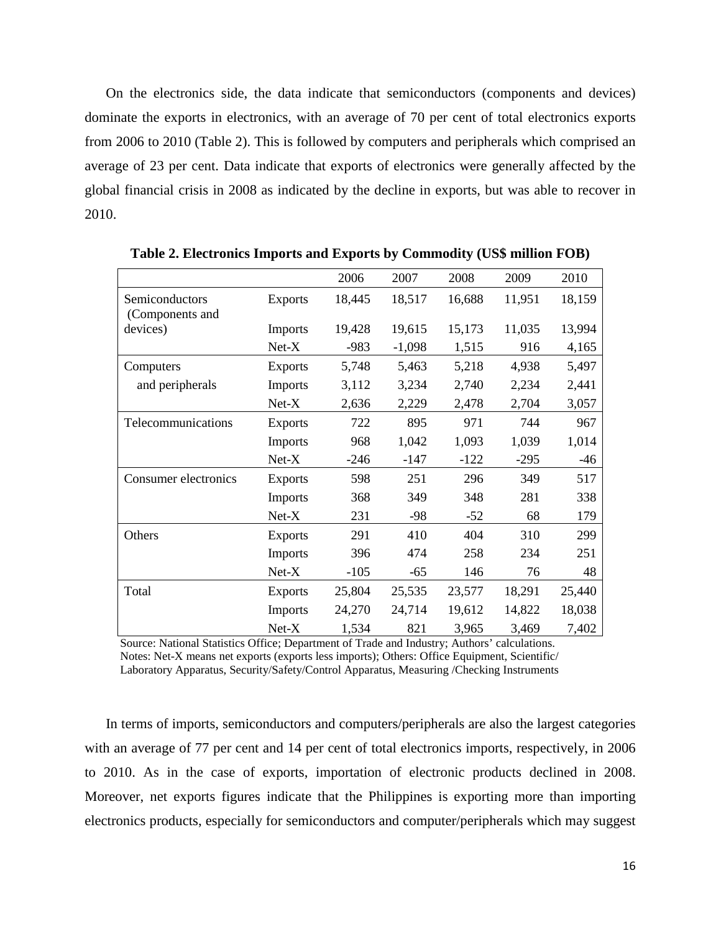On the electronics side, the data indicate that semiconductors (components and devices) dominate the exports in electronics, with an average of 70 per cent of total electronics exports from 2006 to 2010 (Table 2). This is followed by computers and peripherals which comprised an average of 23 per cent. Data indicate that exports of electronics were generally affected by the global financial crisis in 2008 as indicated by the decline in exports, but was able to recover in 2010.

|                                   |                | 2006   | 2007     | 2008   | 2009   | 2010   |
|-----------------------------------|----------------|--------|----------|--------|--------|--------|
| Semiconductors<br>(Components and | <b>Exports</b> | 18,445 | 18,517   | 16,688 | 11,951 | 18,159 |
| devices)                          | <b>Imports</b> | 19,428 | 19,615   | 15,173 | 11,035 | 13,994 |
|                                   | $Net-X$        | $-983$ | $-1,098$ | 1,515  | 916    | 4,165  |
| Computers                         | <b>Exports</b> | 5,748  | 5,463    | 5,218  | 4,938  | 5,497  |
| and peripherals                   | <b>Imports</b> | 3,112  | 3,234    | 2,740  | 2,234  | 2,441  |
|                                   | $Net-X$        | 2,636  | 2,229    | 2,478  | 2,704  | 3,057  |
| Telecommunications                | <b>Exports</b> | 722    | 895      | 971    | 744    | 967    |
|                                   | <b>Imports</b> | 968    | 1,042    | 1,093  | 1,039  | 1,014  |
|                                   | $Net-X$        | $-246$ | $-147$   | $-122$ | $-295$ | $-46$  |
| Consumer electronics              | <b>Exports</b> | 598    | 251      | 296    | 349    | 517    |
|                                   | <b>Imports</b> | 368    | 349      | 348    | 281    | 338    |
|                                   | $Net-X$        | 231    | $-98$    | $-52$  | 68     | 179    |
| Others                            | <b>Exports</b> | 291    | 410      | 404    | 310    | 299    |
|                                   | <b>Imports</b> | 396    | 474      | 258    | 234    | 251    |
|                                   | $Net-X$        | $-105$ | $-65$    | 146    | 76     | 48     |
| Total                             | <b>Exports</b> | 25,804 | 25,535   | 23,577 | 18,291 | 25,440 |
|                                   | <b>Imports</b> | 24,270 | 24,714   | 19,612 | 14,822 | 18,038 |
|                                   | $Net-X$        | 1,534  | 821      | 3,965  | 3,469  | 7,402  |

**Table 2. Electronics Imports and Exports by Commodity (US\$ million FOB)**

 Source: National Statistics Office; Department of Trade and Industry; Authors' calculations. Notes: Net-X means net exports (exports less imports); Others: Office Equipment, Scientific/ Laboratory Apparatus, Security/Safety/Control Apparatus, Measuring /Checking Instruments

In terms of imports, semiconductors and computers/peripherals are also the largest categories with an average of 77 per cent and 14 per cent of total electronics imports, respectively, in 2006 to 2010. As in the case of exports, importation of electronic products declined in 2008. Moreover, net exports figures indicate that the Philippines is exporting more than importing electronics products, especially for semiconductors and computer/peripherals which may suggest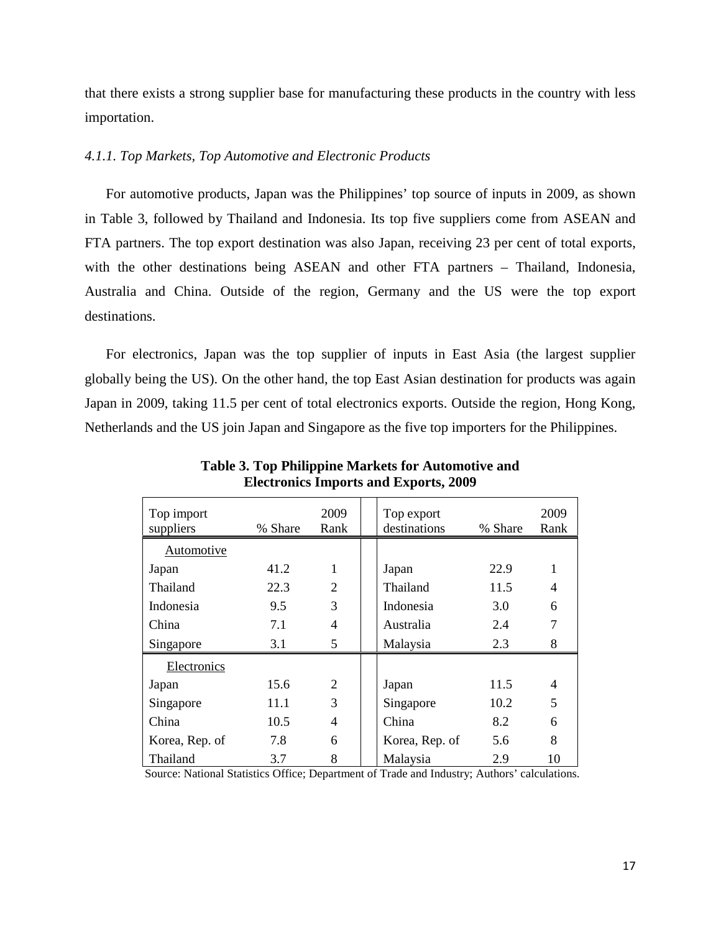that there exists a strong supplier base for manufacturing these products in the country with less importation.

#### *4.1.1. Top Markets, Top Automotive and Electronic Products*

For automotive products, Japan was the Philippines' top source of inputs in 2009, as shown in Table 3, followed by Thailand and Indonesia. Its top five suppliers come from ASEAN and FTA partners. The top export destination was also Japan, receiving 23 per cent of total exports, with the other destinations being ASEAN and other FTA partners – Thailand, Indonesia, Australia and China. Outside of the region, Germany and the US were the top export destinations.

For electronics, Japan was the top supplier of inputs in East Asia (the largest supplier globally being the US). On the other hand, the top East Asian destination for products was again Japan in 2009, taking 11.5 per cent of total electronics exports. Outside the region, Hong Kong, Netherlands and the US join Japan and Singapore as the five top importers for the Philippines.

| Top import<br>suppliers | % Share | 2009<br>Rank | Top export<br>destinations | % Share | 2009<br>Rank |
|-------------------------|---------|--------------|----------------------------|---------|--------------|
| Automotive              |         |              |                            |         |              |
| Japan                   | 41.2    | 1            | Japan                      | 22.9    | 1            |
| Thailand                | 22.3    | 2            | Thailand                   | 11.5    | 4            |
| Indonesia               | 9.5     | 3            | Indonesia                  | 3.0     | 6            |
| China                   | 7.1     | 4            | Australia                  | 2.4     | 7            |
| Singapore               | 3.1     | 5            | Malaysia                   | 2.3     | 8            |
| Electronics             |         |              |                            |         |              |
| Japan                   | 15.6    | 2            | Japan                      | 11.5    | 4            |
| Singapore               | 11.1    | 3            | Singapore                  | 10.2    | 5            |
| China                   | 10.5    | 4            | China                      | 8.2     | 6            |
| Korea, Rep. of          | 7.8     | 6            | Korea, Rep. of             | 5.6     | 8            |
| Thailand                | 3.7     | 8            | Malaysia                   | 2.9     | 10           |

**Table 3. Top Philippine Markets for Automotive and Electronics Imports and Exports, 2009**

Source: National Statistics Office; Department of Trade and Industry; Authors' calculations.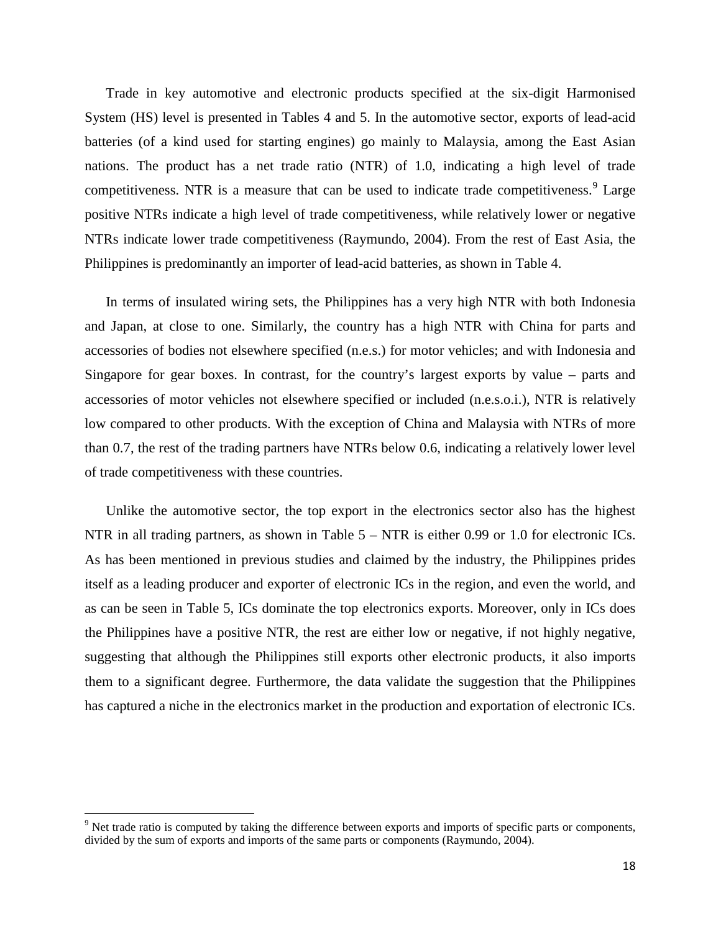Trade in key automotive and electronic products specified at the six-digit Harmonised System (HS) level is presented in Tables 4 and 5. In the automotive sector, exports of lead-acid batteries (of a kind used for starting engines) go mainly to Malaysia, among the East Asian nations. The product has a net trade ratio (NTR) of 1.0, indicating a high level of trade competitiveness. NTR is a measure that can be used to indicate trade competitiveness.<sup>[9](#page-18-0)</sup> Large positive NTRs indicate a high level of trade competitiveness, while relatively lower or negative NTRs indicate lower trade competitiveness (Raymundo, 2004). From the rest of East Asia, the Philippines is predominantly an importer of lead-acid batteries, as shown in Table 4.

In terms of insulated wiring sets, the Philippines has a very high NTR with both Indonesia and Japan, at close to one. Similarly, the country has a high NTR with China for parts and accessories of bodies not elsewhere specified (n.e.s.) for motor vehicles; and with Indonesia and Singapore for gear boxes. In contrast, for the country's largest exports by value – parts and accessories of motor vehicles not elsewhere specified or included (n.e.s.o.i.), NTR is relatively low compared to other products. With the exception of China and Malaysia with NTRs of more than 0.7, the rest of the trading partners have NTRs below 0.6, indicating a relatively lower level of trade competitiveness with these countries.

Unlike the automotive sector, the top export in the electronics sector also has the highest NTR in all trading partners, as shown in Table  $5 - NTR$  is either 0.99 or 1.0 for electronic ICs. As has been mentioned in previous studies and claimed by the industry, the Philippines prides itself as a leading producer and exporter of electronic ICs in the region, and even the world, and as can be seen in Table 5, ICs dominate the top electronics exports. Moreover, only in ICs does the Philippines have a positive NTR, the rest are either low or negative, if not highly negative, suggesting that although the Philippines still exports other electronic products, it also imports them to a significant degree. Furthermore, the data validate the suggestion that the Philippines has captured a niche in the electronics market in the production and exportation of electronic ICs.

ı

<span id="page-18-0"></span><sup>&</sup>lt;sup>9</sup> Net trade ratio is computed by taking the difference between exports and imports of specific parts or components, divided by the sum of exports and imports of the same parts or components (Raymundo, 2004).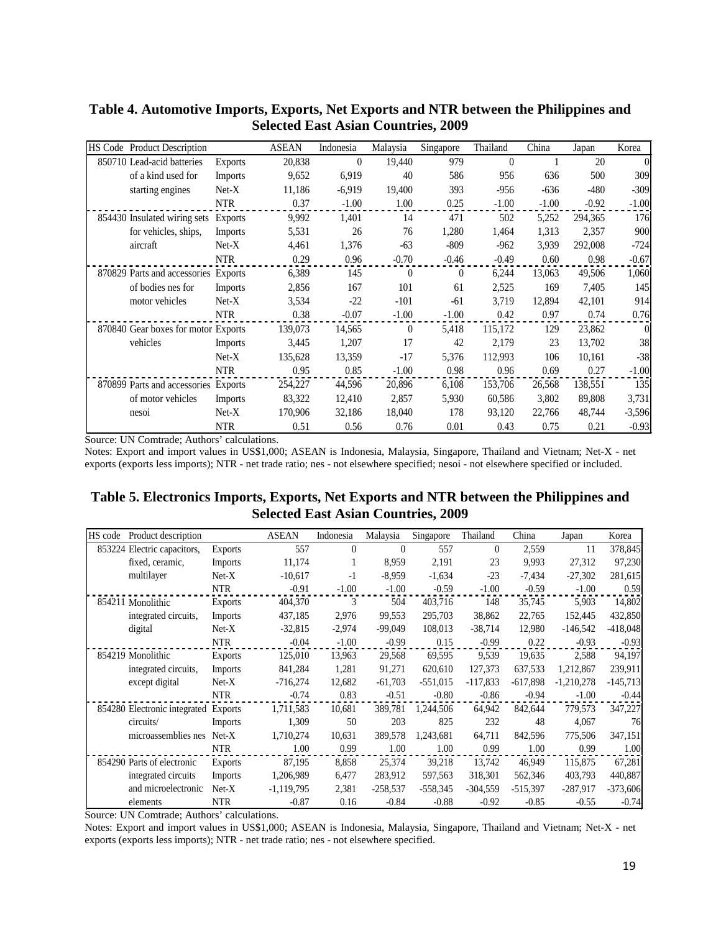| <b>HS Code</b> Product Description   |                | <b>ASEAN</b> | Indonesia | Malaysia | Singapore | Thailand | China   | Japan   | Korea     |
|--------------------------------------|----------------|--------------|-----------|----------|-----------|----------|---------|---------|-----------|
| 850710 Lead-acid batteries           | <b>Exports</b> | 20,838       | $\theta$  | 19,440   | 979       | $\theta$ |         | 20      | $\Omega$  |
| of a kind used for                   | <b>Imports</b> | 9,652        | 6,919     | 40       | 586       | 956      | 636     | 500     | 309       |
| starting engines                     | $Net-X$        | 11,186       | $-6,919$  | 19,400   | 393       | $-956$   | $-636$  | $-480$  | $-309$    |
|                                      | <b>NTR</b>     | 0.37         | $-1.00$   | 1.00     | 0.25      | $-1.00$  | $-1.00$ | $-0.92$ | $-1.00$   |
| 854430 Insulated wiring sets         | <b>Exports</b> | 9,992        | 1,401     | 14       | 471       | 502      | 5,252   | 294,365 | 176       |
| for vehicles, ships,                 | <b>Imports</b> | 5,531        | 26        | 76       | 1,280     | 1,464    | 1,313   | 2,357   | 900       |
| aircraft                             | $Net-X$        | 4,461        | 1,376     | $-63$    | $-809$    | $-962$   | 3,939   | 292,008 | $-724$    |
|                                      | <b>NTR</b>     | 0.29         | 0.96      | $-0.70$  | $-0.46$   | $-0.49$  | 0.60    | 0.98    | $-0.67$   |
| 870829 Parts and accessories Exports |                | 6,389        | 145       | $\theta$ | $\left($  | 6,244    | 13,063  | 49,506  | 1,060     |
| of bodies nes for                    | Imports        | 2,856        | 167       | 101      | 61        | 2,525    | 169     | 7,405   | 145       |
| motor vehicles                       | $Net-X$        | 3,534        | $-22$     | $-101$   | -61       | 3,719    | 12,894  | 42,101  | 914       |
|                                      | <b>NTR</b>     | 0.38         | $-0.07$   | $-1.00$  | $-1.00$   | 0.42     | 0.97    | 0.74    | 0.76      |
| 870840 Gear boxes for motor Exports  |                | 139,073      | 14,565    | $\theta$ | 5,418     | 115,172  | 129     | 23,862  | $\vert$ 0 |
| vehicles                             | Imports        | 3,445        | 1,207     | 17       | 42        | 2,179    | 23      | 13,702  | 38        |
|                                      | $Net-X$        | 135,628      | 13,359    | $-17$    | 5,376     | 112,993  | 106     | 10,161  | $-38$     |
|                                      | <b>NTR</b>     | 0.95         | 0.85      | $-1.00$  | 0.98      | 0.96     | 0.69    | 0.27    | $-1.00$   |
| 870899 Parts and accessories Exports |                | 254,227      | 44,596    | 20,896   | 6,108     | 153,706  | 26,568  | 138,551 | 135       |
| of motor vehicles                    | Imports        | 83,322       | 12,410    | 2,857    | 5,930     | 60,586   | 3,802   | 89,808  | 3,731     |
| nesoi                                | $Net-X$        | 170,906      | 32,186    | 18,040   | 178       | 93,120   | 22,766  | 48,744  | $-3,596$  |
|                                      | NTR            | 0.51         | 0.56      | 0.76     | 0.01      | 0.43     | 0.75    | 0.21    | $-0.93$   |

# **Table 4. Automotive Imports, Exports, Net Exports and NTR between the Philippines and Selected East Asian Countries, 2009**

Source: UN Comtrade; Authors' calculations.

Notes: Export and import values in US\$1,000; ASEAN is Indonesia, Malaysia, Singapore, Thailand and Vietnam; Net-X - net exports (exports less imports); NTR - net trade ratio; nes - not elsewhere specified; nesoi - not elsewhere specified or included.

### **Table 5. Electronics Imports, Exports, Net Exports and NTR between the Philippines and Selected East Asian Countries, 2009**

| <b>HS</b> code | Product description                  |                | <b>ASEAN</b> | Indonesia | Malaysia   | Singapore  | Thailand   | China      | Japan        | Korea      |
|----------------|--------------------------------------|----------------|--------------|-----------|------------|------------|------------|------------|--------------|------------|
|                | 853224 Electric capacitors,          | <b>Exports</b> | 557          | $\theta$  | $\theta$   | 557        | $\Omega$   | 2,559      | 11           | 378,845    |
|                | fixed, ceramic,                      | Imports        | 11,174       |           | 8,959      | 2,191      | 23         | 9,993      | 27,312       | 97,230     |
|                | multilayer                           | $Net-X$        | $-10,617$    | $-1$      | $-8,959$   | $-1,634$   | $-23$      | $-7,434$   | $-27,302$    | 281,615    |
|                |                                      | <b>NTR</b>     | $-0.91$      | $-1.00$   | $-1.00$    | $-0.59$    | $-1.00$    | $-0.59$    | $-1.00$      | 0.59       |
|                | 854211 Monolithic                    | <b>Exports</b> | 404,370      | 3         | 504        | 403,716    | 148        | 35,745     | 5,903        | 14,802     |
|                | integrated circuits,                 | <b>Imports</b> | 437,185      | 2,976     | 99,553     | 295,703    | 38,862     | 22,765     | 152,445      | 432,850    |
|                | digital                              | $Net-X$        | $-32,815$    | $-2,974$  | $-99,049$  | 108,013    | $-38,714$  | 12,980     | $-146,542$   | $-418,048$ |
|                |                                      | <b>NTR</b>     | $-0.04$      | $-1.00$   | $-0.99$    | 0.15       | $-0.99$    | 0.22       | $-0.93$      | $-0.93$    |
|                | 854219 Monolithic                    | <b>Exports</b> | 125,010      | 13,963    | 29,568     | 69,595     | 9,539      | 19,635     | 2,588        | 94,197     |
|                | integrated circuits,                 | <b>Imports</b> | 841,284      | 1,281     | 91,271     | 620.610    | 127,373    | 637,533    | 1,212,867    | 239,911    |
|                | except digital                       | $Net-X$        | $-716,274$   | 12,682    | $-61,703$  | $-551,015$ | $-117,833$ | $-617,898$ | $-1,210,278$ | $-145,713$ |
|                |                                      | <b>NTR</b>     | $-0.74$      | 0.83      | $-0.51$    | $-0.80$    | $-0.86$    | $-0.94$    | $-1.00$      | $-0.44$    |
|                | 854280 Electronic integrated Exports |                | 1,711,583    | 10,681    | 389,781    | 1,244,506  | 64,942     | 842,644    | 779,573      | 347,227    |
|                | circuits/                            | <b>Imports</b> | 1,309        | 50        | 203        | 825        | 232        | 48         | 4,067        | 76         |
|                | microassemblies nes                  | Net-X          | 1,710,274    | 10,631    | 389,578    | 1,243,681  | 64,711     | 842,596    | 775,506      | 347,151    |
|                |                                      | <b>NTR</b>     | 1.00         | 0.99      | 1.00       | 1.00       | 0.99       | 1.00       | 0.99         | 1.00       |
|                | 854290 Parts of electronic           | Exports        | 87,195       | 8,858     | 25,374     | 39,218     | 13,742     | 46,949     | 115,875      | 67,281     |
|                | integrated circuits                  | Imports        | 1,206,989    | 6,477     | 283,912    | 597,563    | 318,301    | 562,346    | 403,793      | 440,887    |
|                | and microelectronic                  | $Net-X$        | $-1,119,795$ | 2,381     | $-258,537$ | $-558,345$ | $-304,559$ | $-515,397$ | $-287,917$   | $-373,606$ |
|                | elements                             | <b>NTR</b>     | $-0.87$      | 0.16      | $-0.84$    | $-0.88$    | $-0.92$    | $-0.85$    | $-0.55$      | $-0.74$    |

Source: UN Comtrade; Authors' calculations.

Notes: Export and import values in US\$1,000; ASEAN is Indonesia, Malaysia, Singapore, Thailand and Vietnam; Net-X - net exports (exports less imports); NTR - net trade ratio; nes - not elsewhere specified.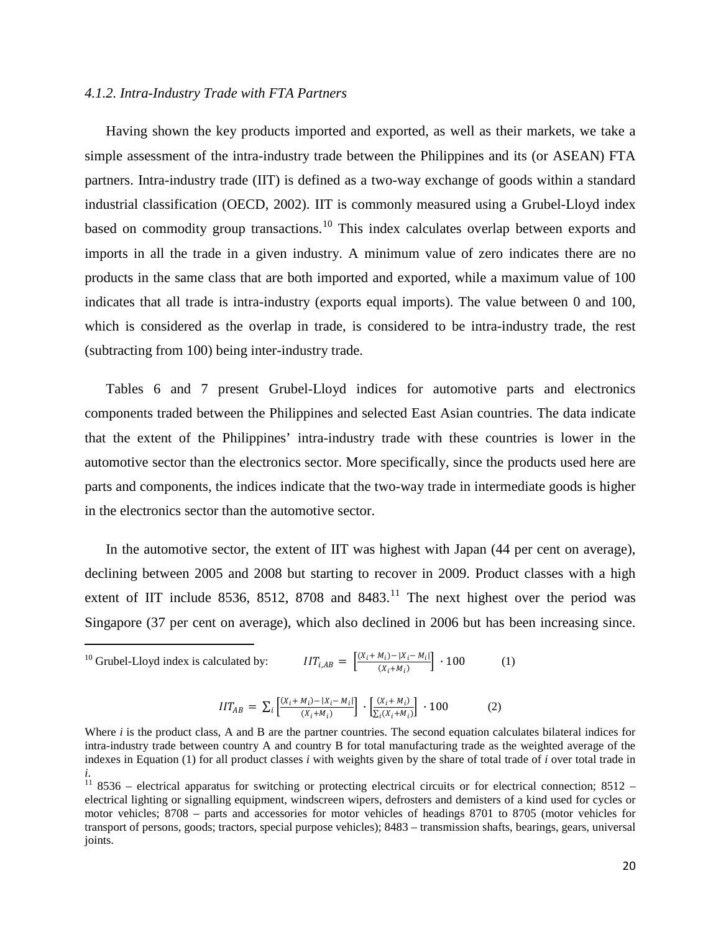#### *4.1.2. Intra-Industry Trade with FTA Partners*

Having shown the key products imported and exported, as well as their markets, we take a simple assessment of the intra-industry trade between the Philippines and its (or ASEAN) FTA partners. Intra-industry trade (IIT) is defined as a two-way exchange of goods within a standard industrial classification (OECD, 2002). IIT is commonly measured using a Grubel-Lloyd index based on commodity group transactions.<sup>[10](#page-20-0)</sup> This index calculates overlap between exports and imports in all the trade in a given industry. A minimum value of zero indicates there are no products in the same class that are both imported and exported, while a maximum value of 100 indicates that all trade is intra-industry (exports equal imports). The value between 0 and 100, which is considered as the overlap in trade, is considered to be intra-industry trade, the rest (subtracting from 100) being inter-industry trade.

Tables 6 and 7 present Grubel-Lloyd indices for automotive parts and electronics components traded between the Philippines and selected East Asian countries. The data indicate that the extent of the Philippines' intra-industry trade with these countries is lower in the automotive sector than the electronics sector. More specifically, since the products used here are parts and components, the indices indicate that the two-way trade in intermediate goods is higher in the electronics sector than the automotive sector.

In the automotive sector, the extent of IIT was highest with Japan (44 per cent on average), declining between 2005 and 2008 but starting to recover in 2009. Product classes with a high extent of IIT include 8536, 8512, 8708 and 8483.<sup>[11](#page-20-0)</sup> The next highest over the period was Singapore (37 per cent on average), which also declined in 2006 but has been increasing since.

<span id="page-20-0"></span><sup>10</sup> Grubel-Lloyd index is calculated by: 
$$
IIT_{i,AB} = \left[ \frac{(X_i + M_i) - |X_i - M_i|}{(X_i + M_i)} \right] \cdot 100 \tag{1}
$$

 $\overline{\phantom{0}}$ 

$$
IIT_{AB} = \sum_{i} \left[ \frac{(X_i + M_i) - |X_i - M_i|}{(X_i + M_i)} \right] \cdot \left[ \frac{(X_i + M_i)}{\sum_{i} (X_i + M_i)} \right] \cdot 100 \tag{2}
$$

Where *i* is the product class, A and B are the partner countries. The second equation calculates bilateral indices for intra-industry trade between country A and country B for total manufacturing trade as the weighted average of the indexes in Equation (1) for all product classes *i* with weights given by the share of total trade of *i* over total trade in *i*.

 $11$  8536 – electrical apparatus for switching or protecting electrical circuits or for electrical connection; 8512 – electrical lighting or signalling equipment, windscreen wipers, defrosters and demisters of a kind used for cycles or motor vehicles; 8708 – parts and accessories for motor vehicles of headings 8701 to 8705 (motor vehicles for transport of persons, goods; tractors, special purpose vehicles); 8483 – transmission shafts, bearings, gears, universal joints.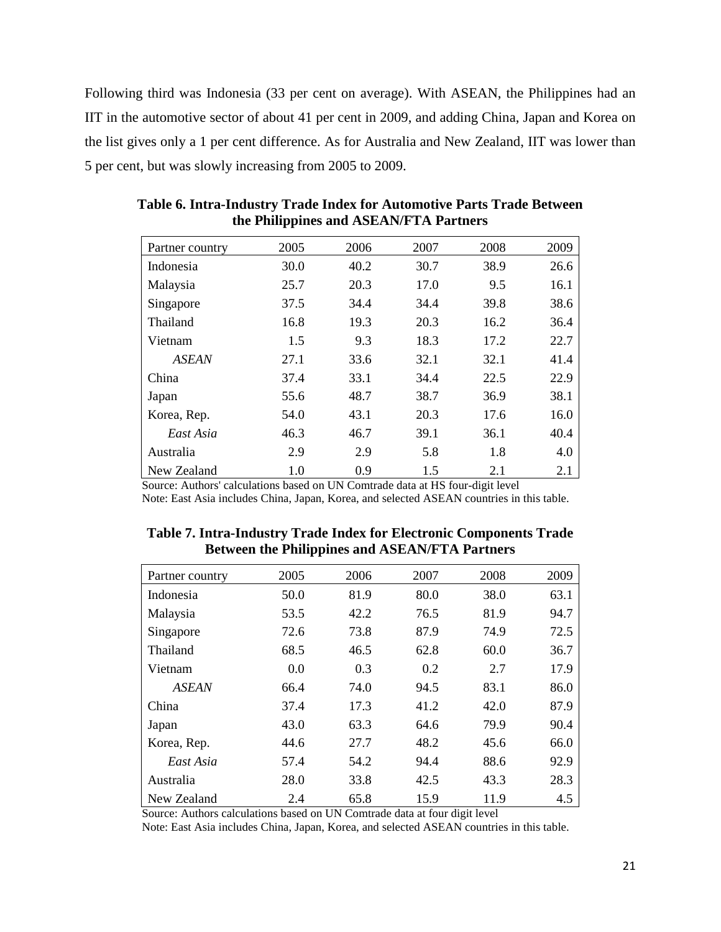Following third was Indonesia (33 per cent on average). With ASEAN, the Philippines had an IIT in the automotive sector of about 41 per cent in 2009, and adding China, Japan and Korea on the list gives only a 1 per cent difference. As for Australia and New Zealand, IIT was lower than 5 per cent, but was slowly increasing from 2005 to 2009.

| Partner country | 2005 | 2006 | 2007 | 2008 | 2009 |
|-----------------|------|------|------|------|------|
| Indonesia       | 30.0 | 40.2 | 30.7 | 38.9 | 26.6 |
| Malaysia        | 25.7 | 20.3 | 17.0 | 9.5  | 16.1 |
| Singapore       | 37.5 | 34.4 | 34.4 | 39.8 | 38.6 |
| Thailand        | 16.8 | 19.3 | 20.3 | 16.2 | 36.4 |
| Vietnam         | 1.5  | 9.3  | 18.3 | 17.2 | 22.7 |
| <b>ASEAN</b>    | 27.1 | 33.6 | 32.1 | 32.1 | 41.4 |
| China           | 37.4 | 33.1 | 34.4 | 22.5 | 22.9 |
| Japan           | 55.6 | 48.7 | 38.7 | 36.9 | 38.1 |
| Korea, Rep.     | 54.0 | 43.1 | 20.3 | 17.6 | 16.0 |
| East Asia       | 46.3 | 46.7 | 39.1 | 36.1 | 40.4 |
| Australia       | 2.9  | 2.9  | 5.8  | 1.8  | 4.0  |
| New Zealand     | 1.0  | 0.9  | 1.5  | 2.1  | 2.1  |

**Table 6. Intra-Industry Trade Index for Automotive Parts Trade Between the Philippines and ASEAN/FTA Partners**

Source: Authors' calculations based on UN Comtrade data at HS four-digit level

Note: East Asia includes China, Japan, Korea, and selected ASEAN countries in this table.

| Table 7. Intra-Industry Trade Index for Electronic Components Trade |  |
|---------------------------------------------------------------------|--|
| <b>Between the Philippines and ASEAN/FTA Partners</b>               |  |

| Partner country | 2005 | 2006 | 2007 | 2008 | 2009 |
|-----------------|------|------|------|------|------|
| Indonesia       | 50.0 | 81.9 | 80.0 | 38.0 | 63.1 |
| Malaysia        | 53.5 | 42.2 | 76.5 | 81.9 | 94.7 |
| Singapore       | 72.6 | 73.8 | 87.9 | 74.9 | 72.5 |
| Thailand        | 68.5 | 46.5 | 62.8 | 60.0 | 36.7 |
| Vietnam         | 0.0  | 0.3  | 0.2  | 2.7  | 17.9 |
| <b>ASEAN</b>    | 66.4 | 74.0 | 94.5 | 83.1 | 86.0 |
| China           | 37.4 | 17.3 | 41.2 | 42.0 | 87.9 |
| Japan           | 43.0 | 63.3 | 64.6 | 79.9 | 90.4 |
| Korea, Rep.     | 44.6 | 27.7 | 48.2 | 45.6 | 66.0 |
| East Asia       | 57.4 | 54.2 | 94.4 | 88.6 | 92.9 |
| Australia       | 28.0 | 33.8 | 42.5 | 43.3 | 28.3 |
| New Zealand     | 2.4  | 65.8 | 15.9 | 11.9 | 4.5  |

Source: Authors calculations based on UN Comtrade data at four digit level

Note: East Asia includes China, Japan, Korea, and selected ASEAN countries in this table.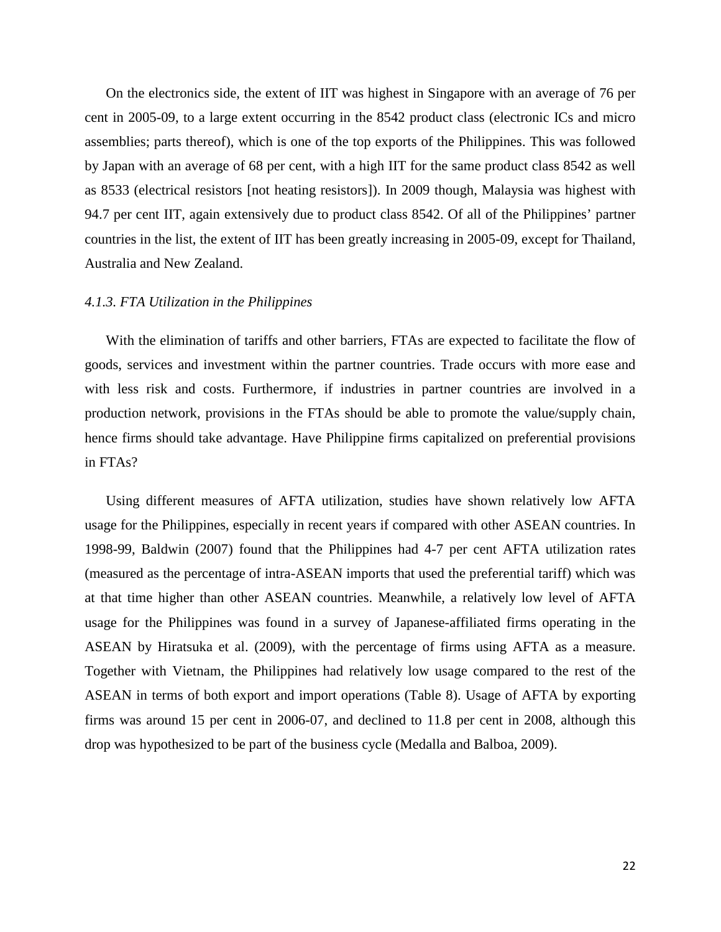On the electronics side, the extent of IIT was highest in Singapore with an average of 76 per cent in 2005-09, to a large extent occurring in the 8542 product class (electronic ICs and micro assemblies; parts thereof), which is one of the top exports of the Philippines. This was followed by Japan with an average of 68 per cent, with a high IIT for the same product class 8542 as well as 8533 (electrical resistors [not heating resistors]). In 2009 though, Malaysia was highest with 94.7 per cent IIT, again extensively due to product class 8542. Of all of the Philippines' partner countries in the list, the extent of IIT has been greatly increasing in 2005-09, except for Thailand, Australia and New Zealand.

#### *4.1.3. FTA Utilization in the Philippines*

With the elimination of tariffs and other barriers, FTAs are expected to facilitate the flow of goods, services and investment within the partner countries. Trade occurs with more ease and with less risk and costs. Furthermore, if industries in partner countries are involved in a production network, provisions in the FTAs should be able to promote the value/supply chain, hence firms should take advantage. Have Philippine firms capitalized on preferential provisions in FTAs?

Using different measures of AFTA utilization, studies have shown relatively low AFTA usage for the Philippines, especially in recent years if compared with other ASEAN countries. In 1998-99, Baldwin (2007) found that the Philippines had 4-7 per cent AFTA utilization rates (measured as the percentage of intra-ASEAN imports that used the preferential tariff) which was at that time higher than other ASEAN countries. Meanwhile, a relatively low level of AFTA usage for the Philippines was found in a survey of Japanese-affiliated firms operating in the ASEAN by Hiratsuka et al. (2009), with the percentage of firms using AFTA as a measure. Together with Vietnam, the Philippines had relatively low usage compared to the rest of the ASEAN in terms of both export and import operations (Table 8). Usage of AFTA by exporting firms was around 15 per cent in 2006-07, and declined to 11.8 per cent in 2008, although this drop was hypothesized to be part of the business cycle (Medalla and Balboa, 2009).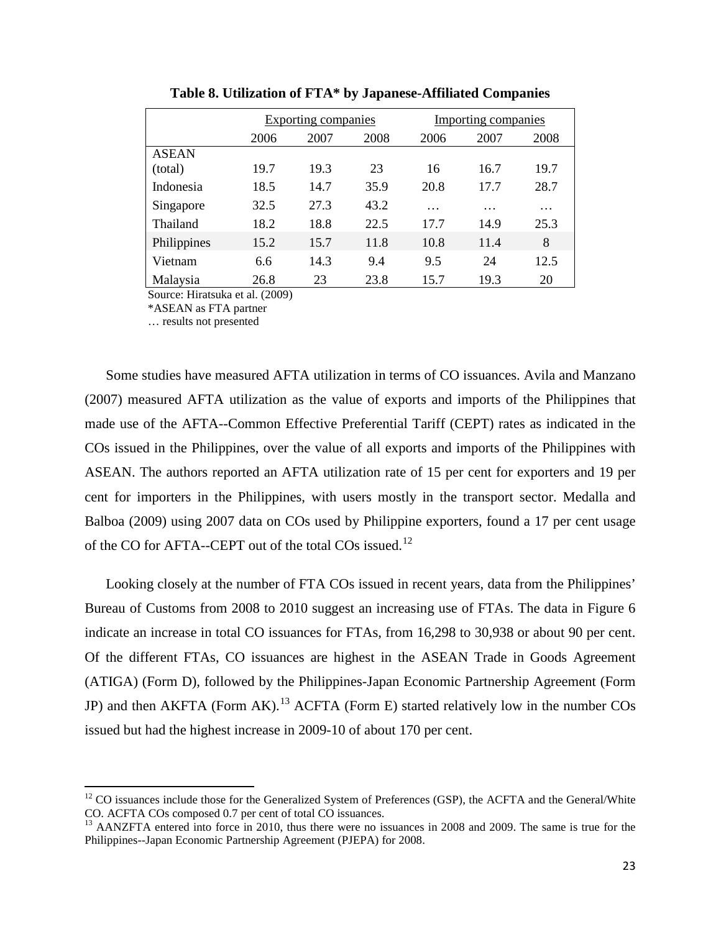|              |      | <b>Exporting companies</b> |      |      | <b>Importing companies</b> |          |  |
|--------------|------|----------------------------|------|------|----------------------------|----------|--|
|              | 2006 | 2007                       | 2008 | 2006 | 2007                       | 2008     |  |
| <b>ASEAN</b> |      |                            |      |      |                            |          |  |
| (total)      | 19.7 | 19.3                       | 23   | 16   | 16.7                       | 19.7     |  |
| Indonesia    | 18.5 | 14.7                       | 35.9 | 20.8 | 17.7                       | 28.7     |  |
| Singapore    | 32.5 | 27.3                       | 43.2 | .    | .                          | $\cdots$ |  |
| Thailand     | 18.2 | 18.8                       | 22.5 | 17.7 | 14.9                       | 25.3     |  |
| Philippines  | 15.2 | 15.7                       | 11.8 | 10.8 | 11.4                       | 8        |  |
| Vietnam      | 6.6  | 14.3                       | 9.4  | 9.5  | 24                         | 12.5     |  |
| Malaysia     | 26.8 | 23                         | 23.8 | 15.7 | 19.3                       | 20       |  |

**Table 8. Utilization of FTA\* by Japanese-Affiliated Companies**

Source: Hiratsuka et al. (2009)

\*ASEAN as FTA partner

… results not presented

ı

Some studies have measured AFTA utilization in terms of CO issuances. Avila and Manzano (2007) measured AFTA utilization as the value of exports and imports of the Philippines that made use of the AFTA--Common Effective Preferential Tariff (CEPT) rates as indicated in the COs issued in the Philippines, over the value of all exports and imports of the Philippines with ASEAN. The authors reported an AFTA utilization rate of 15 per cent for exporters and 19 per cent for importers in the Philippines, with users mostly in the transport sector. Medalla and Balboa (2009) using 2007 data on COs used by Philippine exporters, found a 17 per cent usage of the CO for AFTA--CEPT out of the total COs issued.<sup>[12](#page-23-0)</sup>

Looking closely at the number of FTA COs issued in recent years, data from the Philippines' Bureau of Customs from 2008 to 2010 suggest an increasing use of FTAs. The data in Figure 6 indicate an increase in total CO issuances for FTAs, from 16,298 to 30,938 or about 90 per cent. Of the different FTAs, CO issuances are highest in the ASEAN Trade in Goods Agreement (ATIGA) (Form D), followed by the Philippines-Japan Economic Partnership Agreement (Form JP) and then AKFTA (Form AK).<sup>[13](#page-23-0)</sup> ACFTA (Form E) started relatively low in the number COs issued but had the highest increase in 2009-10 of about 170 per cent.

<span id="page-23-0"></span><sup>&</sup>lt;sup>12</sup> CO issuances include those for the Generalized System of Preferences (GSP), the ACFTA and the General/White CO. ACFTA COs composed 0.7 per cent of total CO issuances.

<sup>&</sup>lt;sup>13</sup> AANZFTA entered into force in 2010, thus there were no issuances in 2008 and 2009. The same is true for the Philippines--Japan Economic Partnership Agreement (PJEPA) for 2008.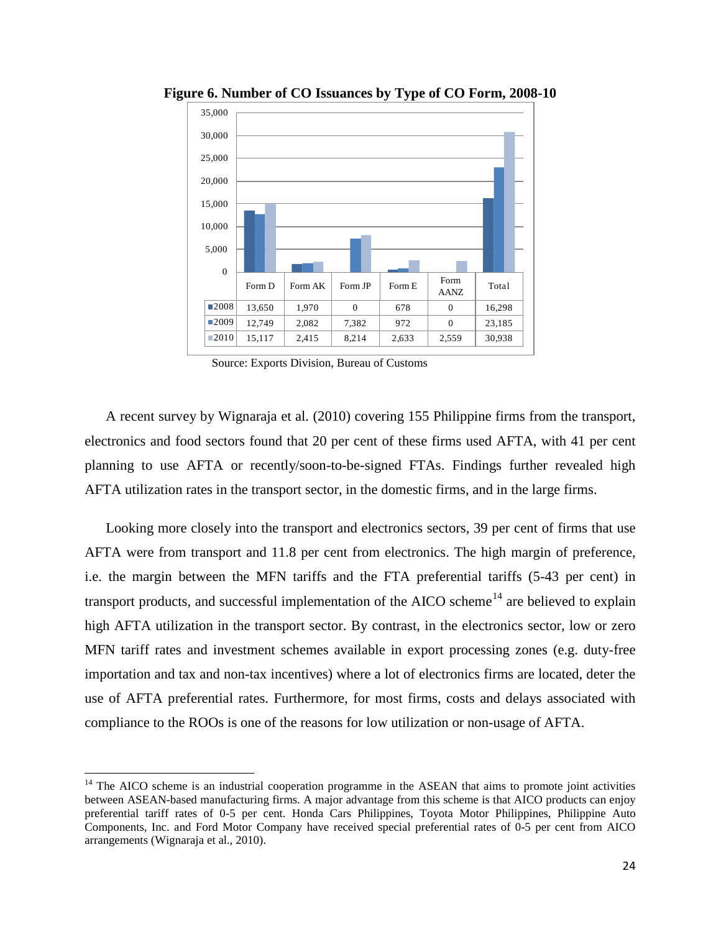

**Figure 6. Number of CO Issuances by Type of CO Form, 2008-10**

Source: Exports Division, Bureau of Customs

A recent survey by Wignaraja et al. (2010) covering 155 Philippine firms from the transport, electronics and food sectors found that 20 per cent of these firms used AFTA, with 41 per cent planning to use AFTA or recently/soon-to-be-signed FTAs. Findings further revealed high AFTA utilization rates in the transport sector, in the domestic firms, and in the large firms.

Looking more closely into the transport and electronics sectors, 39 per cent of firms that use AFTA were from transport and 11.8 per cent from electronics. The high margin of preference, i.e. the margin between the MFN tariffs and the FTA preferential tariffs (5-43 per cent) in transport products, and successful implementation of the AICO scheme<sup>[14](#page-24-0)</sup> are believed to explain high AFTA utilization in the transport sector. By contrast, in the electronics sector, low or zero MFN tariff rates and investment schemes available in export processing zones (e.g. duty-free importation and tax and non-tax incentives) where a lot of electronics firms are located, deter the use of AFTA preferential rates. Furthermore, for most firms, costs and delays associated with compliance to the ROOs is one of the reasons for low utilization or non-usage of AFTA.

ı

<span id="page-24-0"></span><sup>&</sup>lt;sup>14</sup> The AICO scheme is an industrial cooperation programme in the ASEAN that aims to promote joint activities between ASEAN-based manufacturing firms. A major advantage from this scheme is that AICO products can enjoy preferential tariff rates of 0-5 per cent. Honda Cars Philippines, Toyota Motor Philippines, Philippine Auto Components, Inc. and Ford Motor Company have received special preferential rates of 0-5 per cent from AICO arrangements (Wignaraja et al., 2010).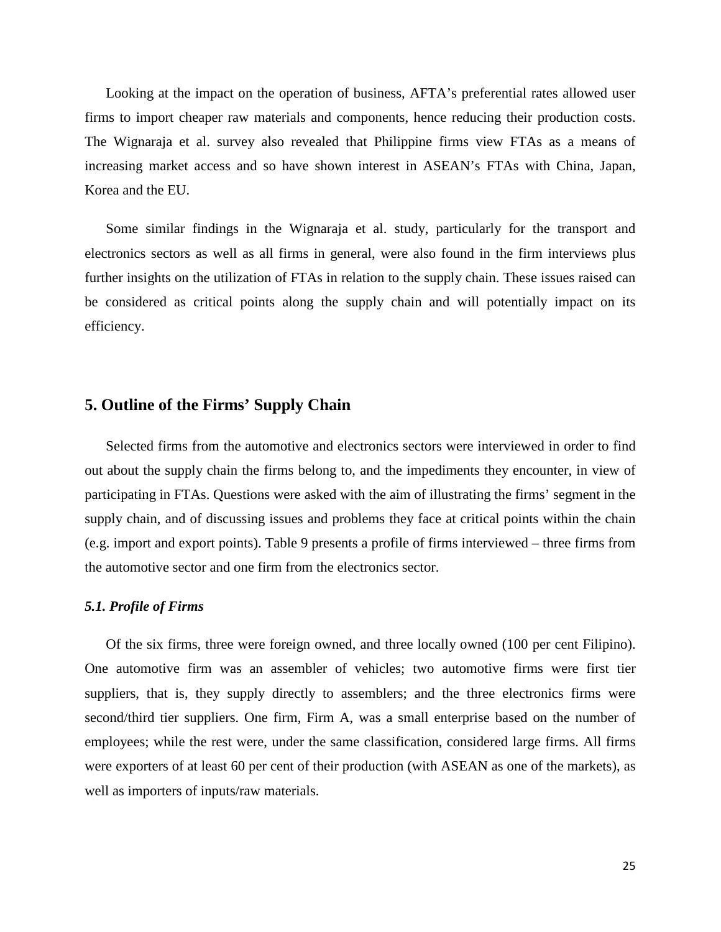Looking at the impact on the operation of business, AFTA's preferential rates allowed user firms to import cheaper raw materials and components, hence reducing their production costs. The Wignaraja et al. survey also revealed that Philippine firms view FTAs as a means of increasing market access and so have shown interest in ASEAN's FTAs with China, Japan, Korea and the EU.

Some similar findings in the Wignaraja et al. study, particularly for the transport and electronics sectors as well as all firms in general, were also found in the firm interviews plus further insights on the utilization of FTAs in relation to the supply chain. These issues raised can be considered as critical points along the supply chain and will potentially impact on its efficiency.

# **5. Outline of the Firms' Supply Chain**

Selected firms from the automotive and electronics sectors were interviewed in order to find out about the supply chain the firms belong to, and the impediments they encounter, in view of participating in FTAs. Questions were asked with the aim of illustrating the firms' segment in the supply chain, and of discussing issues and problems they face at critical points within the chain (e.g. import and export points). Table 9 presents a profile of firms interviewed – three firms from the automotive sector and one firm from the electronics sector.

#### *5.1. Profile of Firms*

Of the six firms, three were foreign owned, and three locally owned (100 per cent Filipino). One automotive firm was an assembler of vehicles; two automotive firms were first tier suppliers, that is, they supply directly to assemblers; and the three electronics firms were second/third tier suppliers. One firm, Firm A, was a small enterprise based on the number of employees; while the rest were, under the same classification, considered large firms. All firms were exporters of at least 60 per cent of their production (with ASEAN as one of the markets), as well as importers of inputs/raw materials.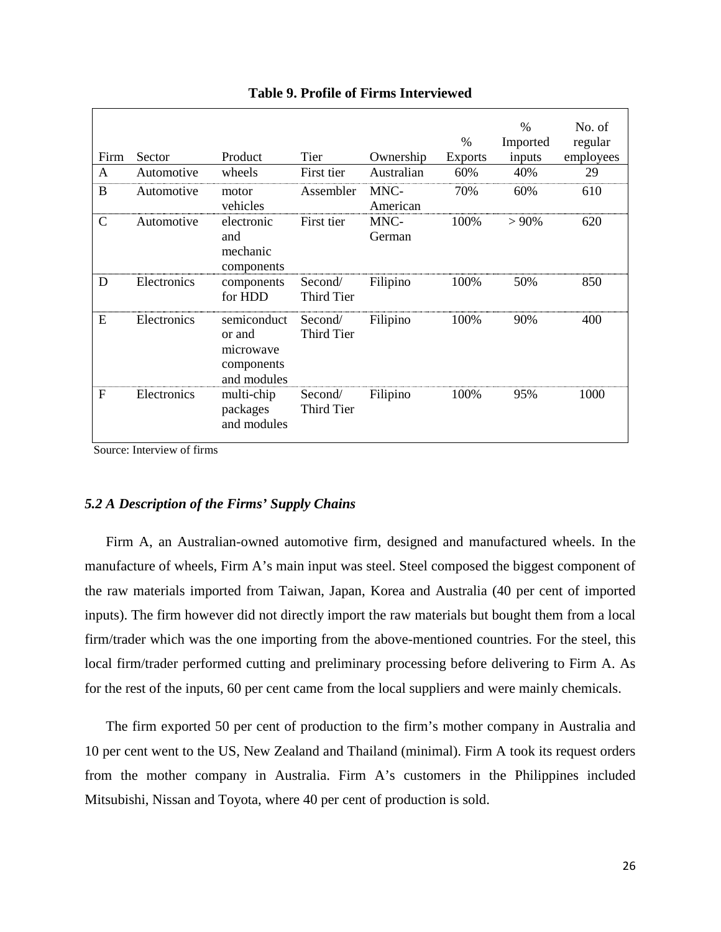| Firm          | Sector      | Product                                                         | Tier                         | Ownership        | $\%$<br><b>Exports</b> | $\%$<br>Imported<br>inputs | No. of<br>regular<br>employees |
|---------------|-------------|-----------------------------------------------------------------|------------------------------|------------------|------------------------|----------------------------|--------------------------------|
| A             | Automotive  | wheels                                                          | First tier                   | Australian       | 60%                    | 40%                        | 29                             |
| B             | Automotive  | motor<br>vehicles                                               | Assembler                    | MNC-<br>American | 70%                    | 60%                        | 610                            |
| $\mathcal{C}$ | Automotive  | electronic<br>and<br>mechanic<br>components                     | First tier                   | MNC-<br>German   | 100%                   | $> 90\%$                   | 620                            |
| D             | Electronics | components<br>for HDD                                           | Second/<br><b>Third Tier</b> | Filipino         | 100%                   | 50%                        | 850                            |
| E             | Electronics | semiconduct<br>or and<br>microwave<br>components<br>and modules | Second/<br>Third Tier        | Filipino         | 100%                   | 90%                        | 400                            |
| $\mathbf F$   | Electronics | multi-chip<br>packages<br>and modules                           | Second/<br>Third Tier        | Filipino         | 100%                   | 95%                        | 1000                           |

**Table 9. Profile of Firms Interviewed**

Source: Interview of firms

#### *5.2 A Description of the Firms' Supply Chains*

Firm A, an Australian-owned automotive firm, designed and manufactured wheels. In the manufacture of wheels, Firm A's main input was steel. Steel composed the biggest component of the raw materials imported from Taiwan, Japan, Korea and Australia (40 per cent of imported inputs). The firm however did not directly import the raw materials but bought them from a local firm/trader which was the one importing from the above-mentioned countries. For the steel, this local firm/trader performed cutting and preliminary processing before delivering to Firm A. As for the rest of the inputs, 60 per cent came from the local suppliers and were mainly chemicals.

The firm exported 50 per cent of production to the firm's mother company in Australia and 10 per cent went to the US, New Zealand and Thailand (minimal). Firm A took its request orders from the mother company in Australia. Firm A's customers in the Philippines included Mitsubishi, Nissan and Toyota, where 40 per cent of production is sold.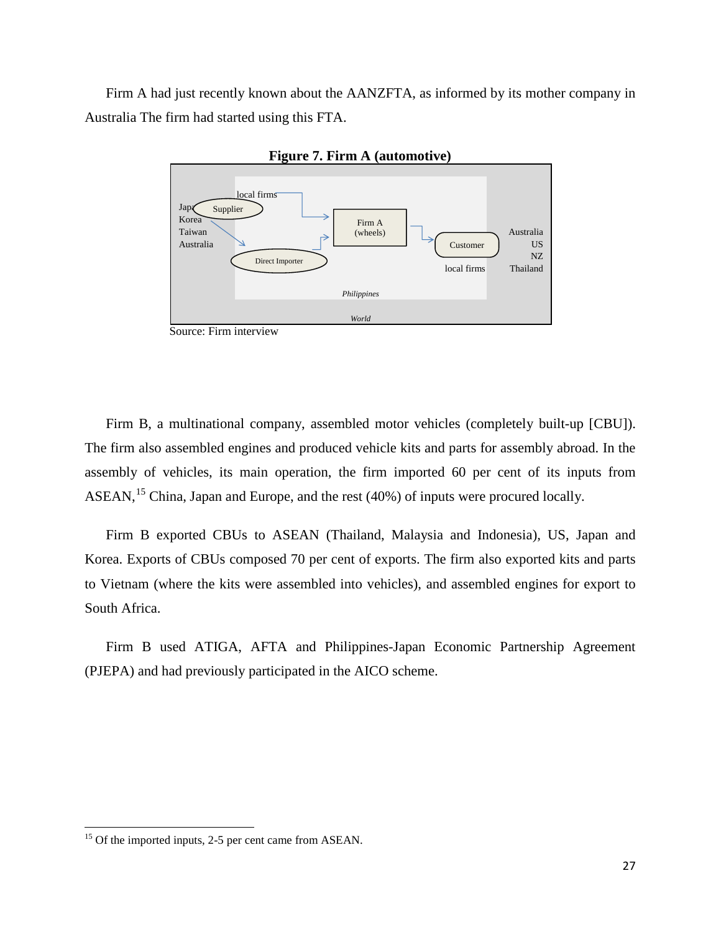Firm A had just recently known about the AANZFTA, as informed by its mother company in Australia The firm had started using this FTA.





Source: Firm interview

Firm B, a multinational company, assembled motor vehicles (completely built-up [CBU]). The firm also assembled engines and produced vehicle kits and parts for assembly abroad. In the assembly of vehicles, its main operation, the firm imported 60 per cent of its inputs from ASEAN,<sup>[15](#page-27-0)</sup> China, Japan and Europe, and the rest (40%) of inputs were procured locally.

Firm B exported CBUs to ASEAN (Thailand, Malaysia and Indonesia), US, Japan and Korea. Exports of CBUs composed 70 per cent of exports. The firm also exported kits and parts to Vietnam (where the kits were assembled into vehicles), and assembled engines for export to South Africa.

Firm B used ATIGA, AFTA and Philippines-Japan Economic Partnership Agreement (PJEPA) and had previously participated in the AICO scheme.

l

<span id="page-27-0"></span><sup>&</sup>lt;sup>15</sup> Of the imported inputs, 2-5 per cent came from ASEAN.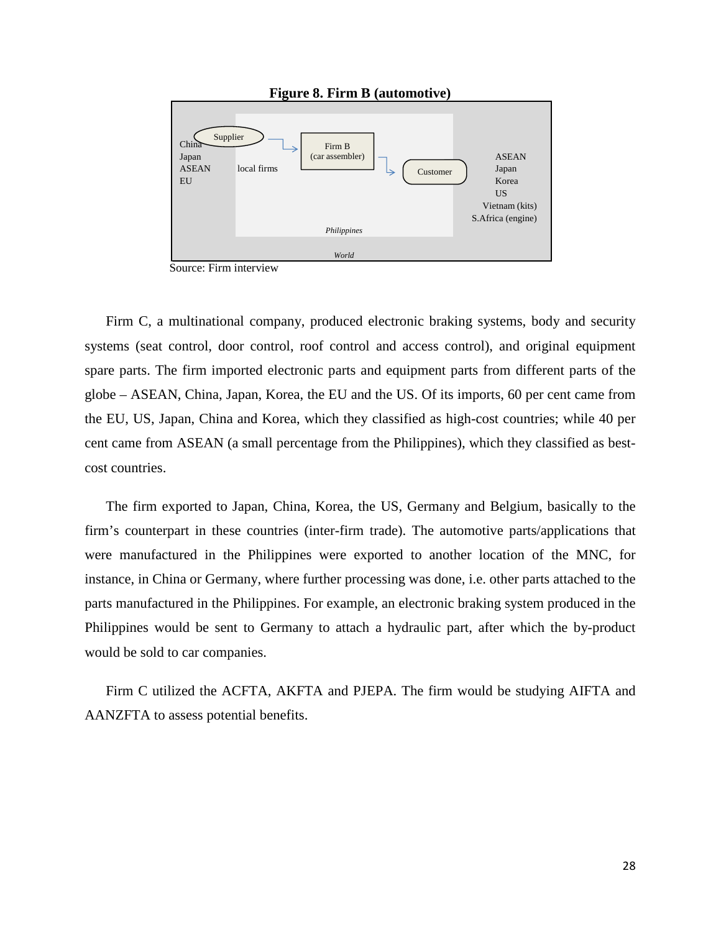

**Figure 8. Firm B (automotive)**

Source: Firm interview

Firm C, a multinational company, produced electronic braking systems, body and security systems (seat control, door control, roof control and access control), and original equipment spare parts. The firm imported electronic parts and equipment parts from different parts of the globe – ASEAN, China, Japan, Korea, the EU and the US. Of its imports, 60 per cent came from the EU, US, Japan, China and Korea, which they classified as high-cost countries; while 40 per cent came from ASEAN (a small percentage from the Philippines), which they classified as bestcost countries.

The firm exported to Japan, China, Korea, the US, Germany and Belgium, basically to the firm's counterpart in these countries (inter-firm trade). The automotive parts/applications that were manufactured in the Philippines were exported to another location of the MNC, for instance, in China or Germany, where further processing was done, i.e. other parts attached to the parts manufactured in the Philippines. For example, an electronic braking system produced in the Philippines would be sent to Germany to attach a hydraulic part, after which the by-product would be sold to car companies.

Firm C utilized the ACFTA, AKFTA and PJEPA. The firm would be studying AIFTA and AANZFTA to assess potential benefits.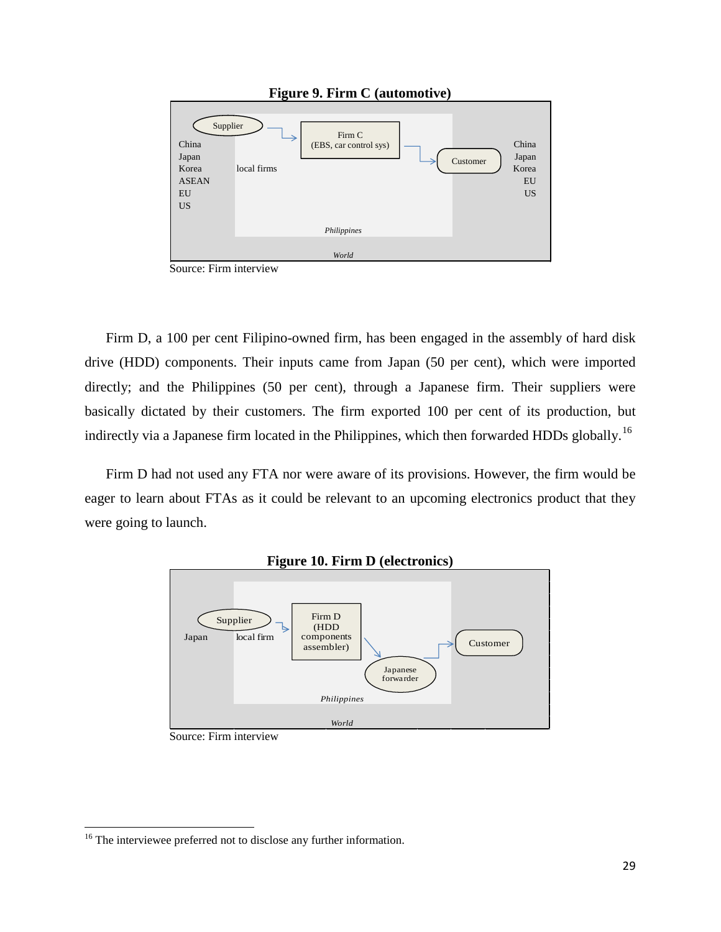

Source: Firm interview

Firm D, a 100 per cent Filipino-owned firm, has been engaged in the assembly of hard disk drive (HDD) components. Their inputs came from Japan (50 per cent), which were imported directly; and the Philippines (50 per cent), through a Japanese firm. Their suppliers were basically dictated by their customers. The firm exported 100 per cent of its production, but indirectly via a Japanese firm located in the Philippines, which then forwarded HDDs globally.<sup>[16](#page-29-0)</sup>

Firm D had not used any FTA nor were aware of its provisions. However, the firm would be eager to learn about FTAs as it could be relevant to an upcoming electronics product that they were going to launch.





l

Source: Firm interview

<span id="page-29-0"></span><sup>&</sup>lt;sup>16</sup> The interviewee preferred not to disclose any further information.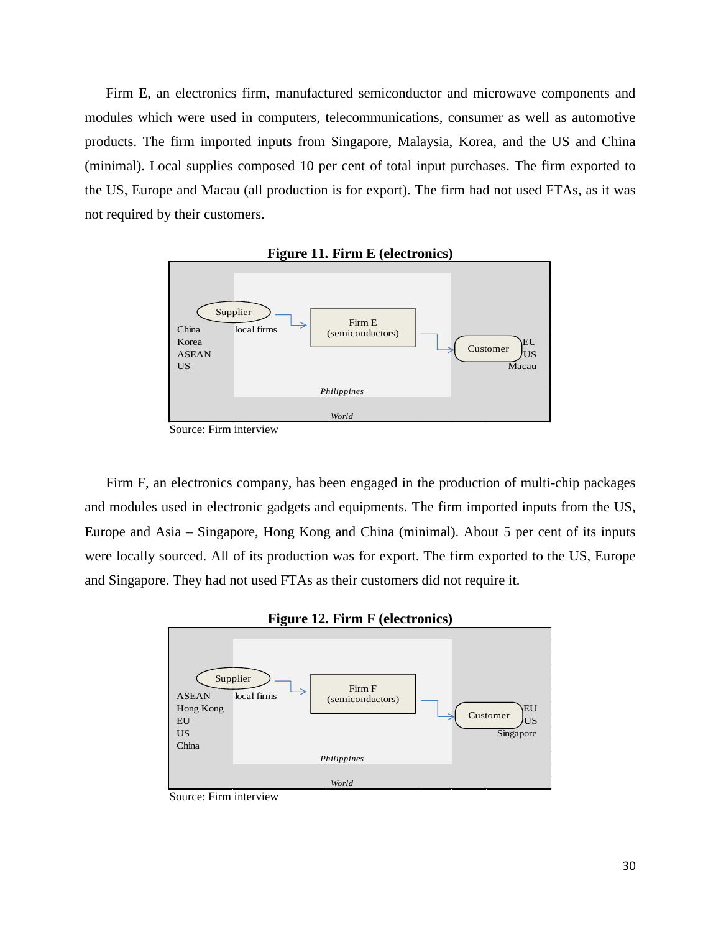Firm E, an electronics firm, manufactured semiconductor and microwave components and modules which were used in computers, telecommunications, consumer as well as automotive products. The firm imported inputs from Singapore, Malaysia, Korea, and the US and China (minimal). Local supplies composed 10 per cent of total input purchases. The firm exported to the US, Europe and Macau (all production is for export). The firm had not used FTAs, as it was not required by their customers.





Source: Firm interview

Firm F, an electronics company, has been engaged in the production of multi-chip packages and modules used in electronic gadgets and equipments. The firm imported inputs from the US, Europe and Asia – Singapore, Hong Kong and China (minimal). About 5 per cent of its inputs were locally sourced. All of its production was for export. The firm exported to the US, Europe and Singapore. They had not used FTAs as their customers did not require it.





Source: Firm interview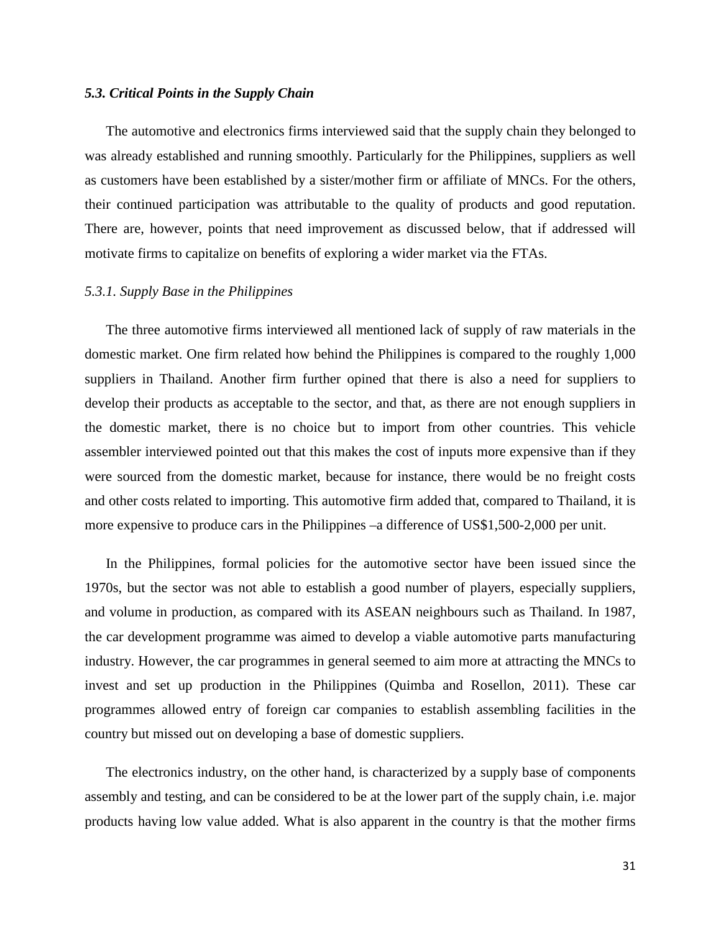#### *5.3. Critical Points in the Supply Chain*

The automotive and electronics firms interviewed said that the supply chain they belonged to was already established and running smoothly. Particularly for the Philippines, suppliers as well as customers have been established by a sister/mother firm or affiliate of MNCs. For the others, their continued participation was attributable to the quality of products and good reputation. There are, however, points that need improvement as discussed below, that if addressed will motivate firms to capitalize on benefits of exploring a wider market via the FTAs.

#### *5.3.1. Supply Base in the Philippines*

The three automotive firms interviewed all mentioned lack of supply of raw materials in the domestic market. One firm related how behind the Philippines is compared to the roughly 1,000 suppliers in Thailand. Another firm further opined that there is also a need for suppliers to develop their products as acceptable to the sector, and that, as there are not enough suppliers in the domestic market, there is no choice but to import from other countries. This vehicle assembler interviewed pointed out that this makes the cost of inputs more expensive than if they were sourced from the domestic market, because for instance, there would be no freight costs and other costs related to importing. This automotive firm added that, compared to Thailand, it is more expensive to produce cars in the Philippines –a difference of US\$1,500-2,000 per unit.

In the Philippines, formal policies for the automotive sector have been issued since the 1970s, but the sector was not able to establish a good number of players, especially suppliers, and volume in production, as compared with its ASEAN neighbours such as Thailand. In 1987, the car development programme was aimed to develop a viable automotive parts manufacturing industry. However, the car programmes in general seemed to aim more at attracting the MNCs to invest and set up production in the Philippines (Quimba and Rosellon, 2011). These car programmes allowed entry of foreign car companies to establish assembling facilities in the country but missed out on developing a base of domestic suppliers.

The electronics industry, on the other hand, is characterized by a supply base of components assembly and testing, and can be considered to be at the lower part of the supply chain, i.e. major products having low value added. What is also apparent in the country is that the mother firms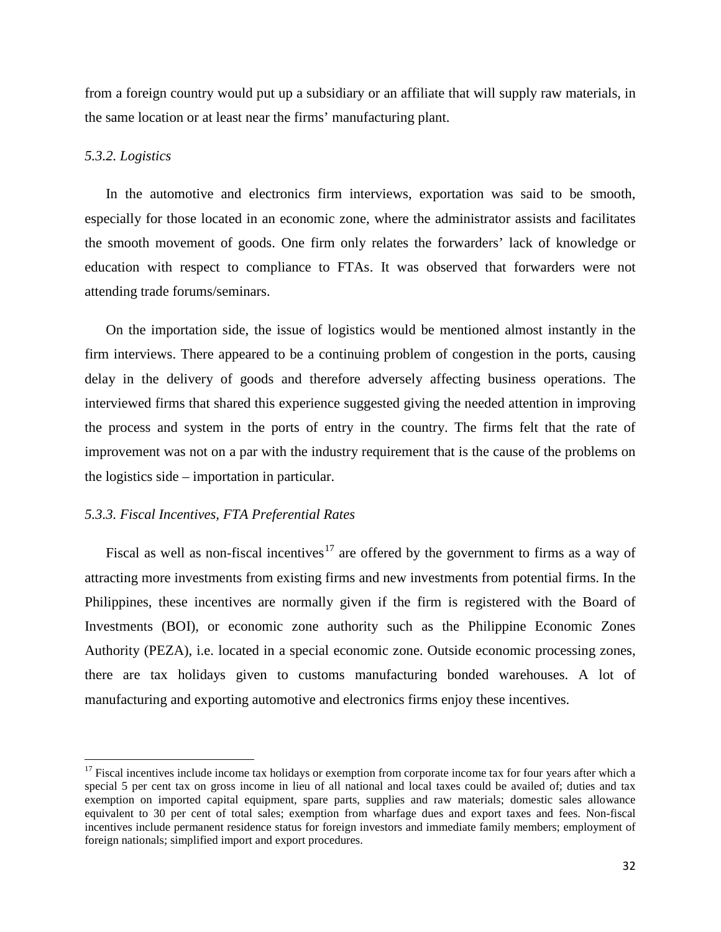from a foreign country would put up a subsidiary or an affiliate that will supply raw materials, in the same location or at least near the firms' manufacturing plant.

#### *5.3.2. Logistics*

 $\overline{\phantom{0}}$ 

In the automotive and electronics firm interviews, exportation was said to be smooth, especially for those located in an economic zone, where the administrator assists and facilitates the smooth movement of goods. One firm only relates the forwarders' lack of knowledge or education with respect to compliance to FTAs. It was observed that forwarders were not attending trade forums/seminars.

On the importation side, the issue of logistics would be mentioned almost instantly in the firm interviews. There appeared to be a continuing problem of congestion in the ports, causing delay in the delivery of goods and therefore adversely affecting business operations. The interviewed firms that shared this experience suggested giving the needed attention in improving the process and system in the ports of entry in the country. The firms felt that the rate of improvement was not on a par with the industry requirement that is the cause of the problems on the logistics side – importation in particular.

#### *5.3.3. Fiscal Incentives, FTA Preferential Rates*

Fiscal as well as non-fiscal incentives<sup>[17](#page-32-0)</sup> are offered by the government to firms as a way of attracting more investments from existing firms and new investments from potential firms. In the Philippines, these incentives are normally given if the firm is registered with the Board of Investments (BOI), or economic zone authority such as the Philippine Economic Zones Authority (PEZA), i.e. located in a special economic zone. Outside economic processing zones, there are tax holidays given to customs manufacturing bonded warehouses. A lot of manufacturing and exporting automotive and electronics firms enjoy these incentives.

<span id="page-32-0"></span> $17$  Fiscal incentives include income tax holidays or exemption from corporate income tax for four years after which a special 5 per cent tax on gross income in lieu of all national and local taxes could be availed of; duties and tax exemption on imported capital equipment, spare parts, supplies and raw materials; domestic sales allowance equivalent to 30 per cent of total sales; exemption from wharfage dues and export taxes and fees. Non-fiscal incentives include permanent residence status for foreign investors and immediate family members; employment of foreign nationals; simplified import and export procedures.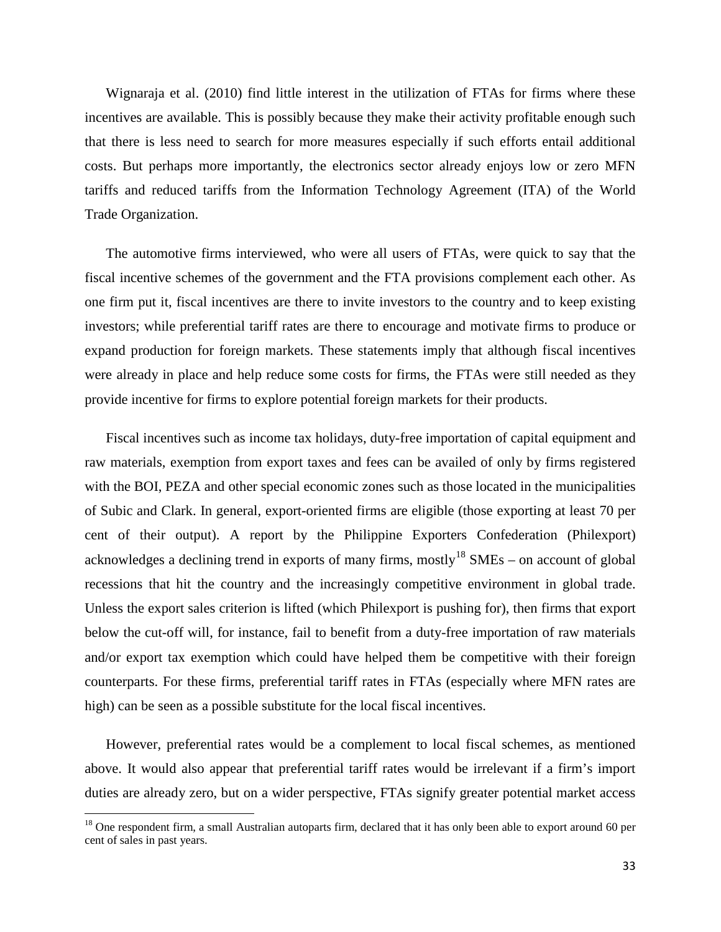Wignaraja et al. (2010) find little interest in the utilization of FTAs for firms where these incentives are available. This is possibly because they make their activity profitable enough such that there is less need to search for more measures especially if such efforts entail additional costs. But perhaps more importantly, the electronics sector already enjoys low or zero MFN tariffs and reduced tariffs from the Information Technology Agreement (ITA) of the World Trade Organization.

The automotive firms interviewed, who were all users of FTAs, were quick to say that the fiscal incentive schemes of the government and the FTA provisions complement each other. As one firm put it, fiscal incentives are there to invite investors to the country and to keep existing investors; while preferential tariff rates are there to encourage and motivate firms to produce or expand production for foreign markets. These statements imply that although fiscal incentives were already in place and help reduce some costs for firms, the FTAs were still needed as they provide incentive for firms to explore potential foreign markets for their products.

Fiscal incentives such as income tax holidays, duty-free importation of capital equipment and raw materials, exemption from export taxes and fees can be availed of only by firms registered with the BOI, PEZA and other special economic zones such as those located in the municipalities of Subic and Clark. In general, export-oriented firms are eligible (those exporting at least 70 per cent of their output). A report by the Philippine Exporters Confederation (Philexport) acknowledges a declining trend in exports of many firms, mostly<sup>[18](#page-33-0)</sup> SMEs – on account of global recessions that hit the country and the increasingly competitive environment in global trade. Unless the export sales criterion is lifted (which Philexport is pushing for), then firms that export below the cut-off will, for instance, fail to benefit from a duty-free importation of raw materials and/or export tax exemption which could have helped them be competitive with their foreign counterparts. For these firms, preferential tariff rates in FTAs (especially where MFN rates are high) can be seen as a possible substitute for the local fiscal incentives.

However, preferential rates would be a complement to local fiscal schemes, as mentioned above. It would also appear that preferential tariff rates would be irrelevant if a firm's import duties are already zero, but on a wider perspective, FTAs signify greater potential market access

ı

<span id="page-33-0"></span> $18$  One respondent firm, a small Australian autoparts firm, declared that it has only been able to export around 60 per cent of sales in past years.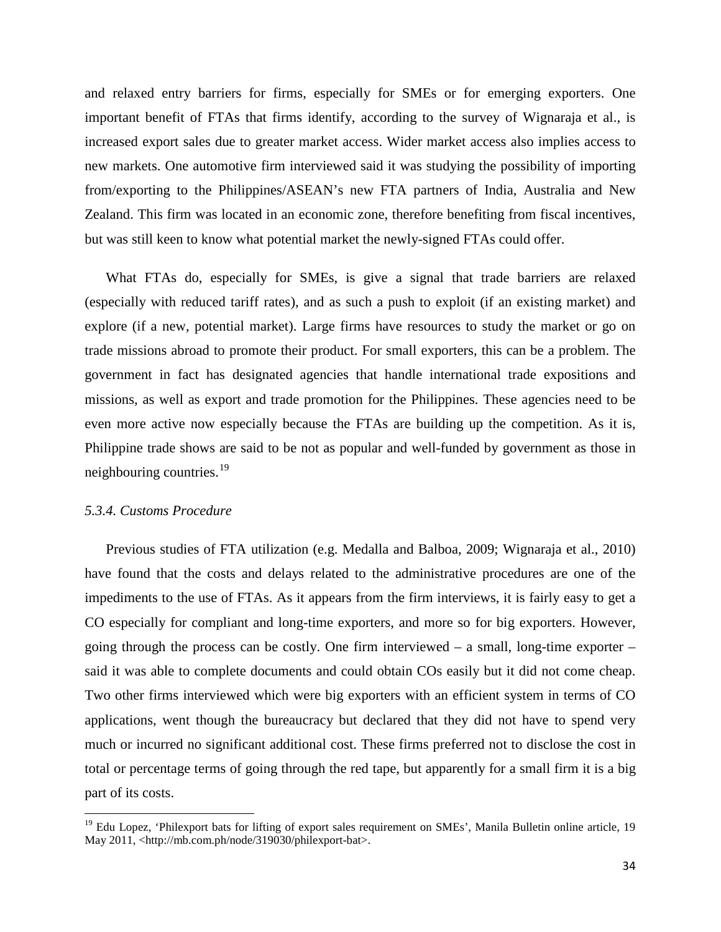and relaxed entry barriers for firms, especially for SMEs or for emerging exporters. One important benefit of FTAs that firms identify, according to the survey of Wignaraja et al., is increased export sales due to greater market access. Wider market access also implies access to new markets. One automotive firm interviewed said it was studying the possibility of importing from/exporting to the Philippines/ASEAN's new FTA partners of India, Australia and New Zealand. This firm was located in an economic zone, therefore benefiting from fiscal incentives, but was still keen to know what potential market the newly-signed FTAs could offer.

What FTAs do, especially for SMEs, is give a signal that trade barriers are relaxed (especially with reduced tariff rates), and as such a push to exploit (if an existing market) and explore (if a new, potential market). Large firms have resources to study the market or go on trade missions abroad to promote their product. For small exporters, this can be a problem. The government in fact has designated agencies that handle international trade expositions and missions, as well as export and trade promotion for the Philippines. These agencies need to be even more active now especially because the FTAs are building up the competition. As it is, Philippine trade shows are said to be not as popular and well-funded by government as those in neighbouring countries.<sup>[19](#page-34-0)</sup>

#### *5.3.4. Customs Procedure*

ı

Previous studies of FTA utilization (e.g. Medalla and Balboa, 2009; Wignaraja et al., 2010) have found that the costs and delays related to the administrative procedures are one of the impediments to the use of FTAs. As it appears from the firm interviews, it is fairly easy to get a CO especially for compliant and long-time exporters, and more so for big exporters. However, going through the process can be costly. One firm interviewed  $-$  a small, long-time exporter  $$ said it was able to complete documents and could obtain COs easily but it did not come cheap. Two other firms interviewed which were big exporters with an efficient system in terms of CO applications, went though the bureaucracy but declared that they did not have to spend very much or incurred no significant additional cost. These firms preferred not to disclose the cost in total or percentage terms of going through the red tape, but apparently for a small firm it is a big part of its costs.

<span id="page-34-0"></span><sup>&</sup>lt;sup>19</sup> Edu Lopez, 'Philexport bats for lifting of export sales requirement on SMEs', Manila Bulletin online article, 19 May 2011, <http://mb.com.ph/node/319030/philexport-bat>.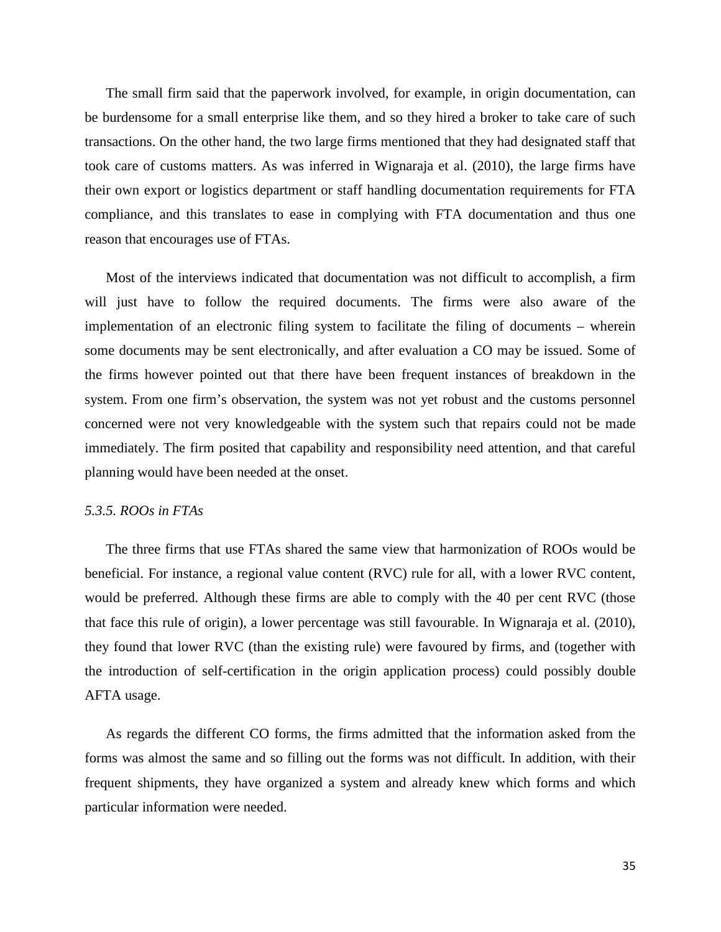The small firm said that the paperwork involved, for example, in origin documentation, can be burdensome for a small enterprise like them, and so they hired a broker to take care of such transactions. On the other hand, the two large firms mentioned that they had designated staff that took care of customs matters. As was inferred in Wignaraja et al. (2010), the large firms have their own export or logistics department or staff handling documentation requirements for FTA compliance, and this translates to ease in complying with FTA documentation and thus one reason that encourages use of FTAs.

Most of the interviews indicated that documentation was not difficult to accomplish, a firm will just have to follow the required documents. The firms were also aware of the implementation of an electronic filing system to facilitate the filing of documents – wherein some documents may be sent electronically, and after evaluation a CO may be issued. Some of the firms however pointed out that there have been frequent instances of breakdown in the system. From one firm's observation, the system was not yet robust and the customs personnel concerned were not very knowledgeable with the system such that repairs could not be made immediately. The firm posited that capability and responsibility need attention, and that careful planning would have been needed at the onset.

#### *5.3.5. ROOs in FTAs*

The three firms that use FTAs shared the same view that harmonization of ROOs would be beneficial. For instance, a regional value content (RVC) rule for all, with a lower RVC content, would be preferred. Although these firms are able to comply with the 40 per cent RVC (those that face this rule of origin), a lower percentage was still favourable. In Wignaraja et al. (2010), they found that lower RVC (than the existing rule) were favoured by firms, and (together with the introduction of self-certification in the origin application process) could possibly double AFTA usage.

As regards the different CO forms, the firms admitted that the information asked from the forms was almost the same and so filling out the forms was not difficult. In addition, with their frequent shipments, they have organized a system and already knew which forms and which particular information were needed.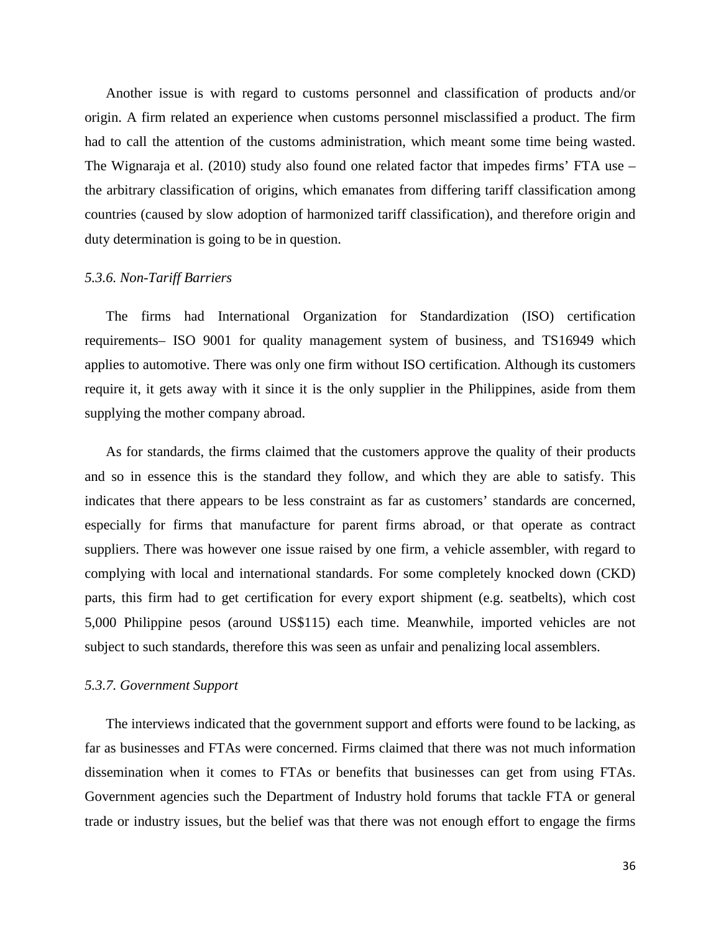Another issue is with regard to customs personnel and classification of products and/or origin. A firm related an experience when customs personnel misclassified a product. The firm had to call the attention of the customs administration, which meant some time being wasted. The Wignaraja et al. (2010) study also found one related factor that impedes firms' FTA use – the arbitrary classification of origins, which emanates from differing tariff classification among countries (caused by slow adoption of harmonized tariff classification), and therefore origin and duty determination is going to be in question.

#### *5.3.6. Non-Tariff Barriers*

The firms had International Organization for Standardization (ISO) certification requirements– ISO 9001 for quality management system of business, and TS16949 which applies to automotive. There was only one firm without ISO certification. Although its customers require it, it gets away with it since it is the only supplier in the Philippines, aside from them supplying the mother company abroad.

As for standards, the firms claimed that the customers approve the quality of their products and so in essence this is the standard they follow, and which they are able to satisfy. This indicates that there appears to be less constraint as far as customers' standards are concerned, especially for firms that manufacture for parent firms abroad, or that operate as contract suppliers. There was however one issue raised by one firm, a vehicle assembler, with regard to complying with local and international standards. For some completely knocked down (CKD) parts, this firm had to get certification for every export shipment (e.g. seatbelts), which cost 5,000 Philippine pesos (around US\$115) each time. Meanwhile, imported vehicles are not subject to such standards, therefore this was seen as unfair and penalizing local assemblers.

#### *5.3.7. Government Support*

The interviews indicated that the government support and efforts were found to be lacking, as far as businesses and FTAs were concerned. Firms claimed that there was not much information dissemination when it comes to FTAs or benefits that businesses can get from using FTAs. Government agencies such the Department of Industry hold forums that tackle FTA or general trade or industry issues, but the belief was that there was not enough effort to engage the firms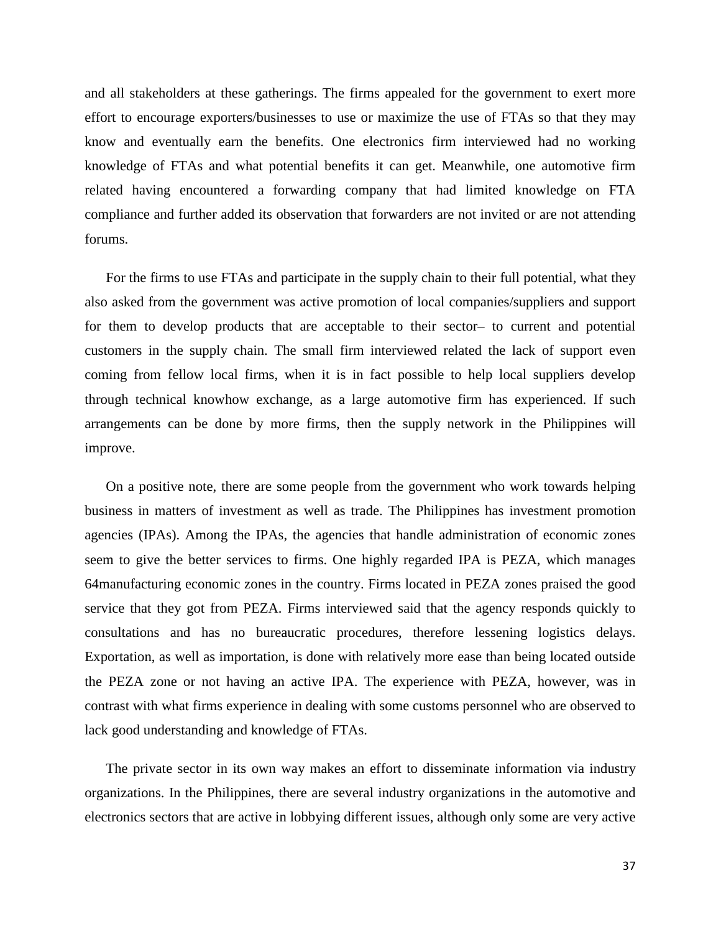and all stakeholders at these gatherings. The firms appealed for the government to exert more effort to encourage exporters/businesses to use or maximize the use of FTAs so that they may know and eventually earn the benefits. One electronics firm interviewed had no working knowledge of FTAs and what potential benefits it can get. Meanwhile, one automotive firm related having encountered a forwarding company that had limited knowledge on FTA compliance and further added its observation that forwarders are not invited or are not attending forums.

For the firms to use FTAs and participate in the supply chain to their full potential, what they also asked from the government was active promotion of local companies/suppliers and support for them to develop products that are acceptable to their sector– to current and potential customers in the supply chain. The small firm interviewed related the lack of support even coming from fellow local firms, when it is in fact possible to help local suppliers develop through technical knowhow exchange, as a large automotive firm has experienced. If such arrangements can be done by more firms, then the supply network in the Philippines will improve.

On a positive note, there are some people from the government who work towards helping business in matters of investment as well as trade. The Philippines has investment promotion agencies (IPAs). Among the IPAs, the agencies that handle administration of economic zones seem to give the better services to firms. One highly regarded IPA is PEZA, which manages 64manufacturing economic zones in the country. Firms located in PEZA zones praised the good service that they got from PEZA. Firms interviewed said that the agency responds quickly to consultations and has no bureaucratic procedures, therefore lessening logistics delays. Exportation, as well as importation, is done with relatively more ease than being located outside the PEZA zone or not having an active IPA. The experience with PEZA, however, was in contrast with what firms experience in dealing with some customs personnel who are observed to lack good understanding and knowledge of FTAs.

The private sector in its own way makes an effort to disseminate information via industry organizations. In the Philippines, there are several industry organizations in the automotive and electronics sectors that are active in lobbying different issues, although only some are very active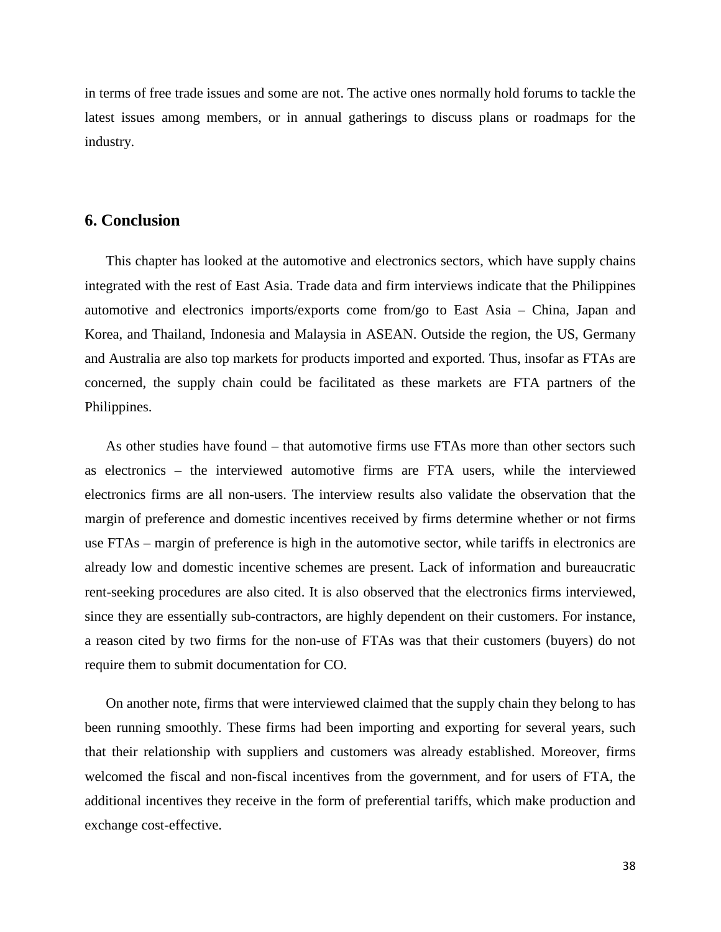in terms of free trade issues and some are not. The active ones normally hold forums to tackle the latest issues among members, or in annual gatherings to discuss plans or roadmaps for the industry.

# **6. Conclusion**

This chapter has looked at the automotive and electronics sectors, which have supply chains integrated with the rest of East Asia. Trade data and firm interviews indicate that the Philippines automotive and electronics imports/exports come from/go to East Asia – China, Japan and Korea, and Thailand, Indonesia and Malaysia in ASEAN. Outside the region, the US, Germany and Australia are also top markets for products imported and exported. Thus, insofar as FTAs are concerned, the supply chain could be facilitated as these markets are FTA partners of the Philippines.

As other studies have found – that automotive firms use FTAs more than other sectors such as electronics – the interviewed automotive firms are FTA users, while the interviewed electronics firms are all non-users. The interview results also validate the observation that the margin of preference and domestic incentives received by firms determine whether or not firms use FTAs – margin of preference is high in the automotive sector, while tariffs in electronics are already low and domestic incentive schemes are present. Lack of information and bureaucratic rent-seeking procedures are also cited. It is also observed that the electronics firms interviewed, since they are essentially sub-contractors, are highly dependent on their customers. For instance, a reason cited by two firms for the non-use of FTAs was that their customers (buyers) do not require them to submit documentation for CO.

On another note, firms that were interviewed claimed that the supply chain they belong to has been running smoothly. These firms had been importing and exporting for several years, such that their relationship with suppliers and customers was already established. Moreover, firms welcomed the fiscal and non-fiscal incentives from the government, and for users of FTA, the additional incentives they receive in the form of preferential tariffs, which make production and exchange cost-effective.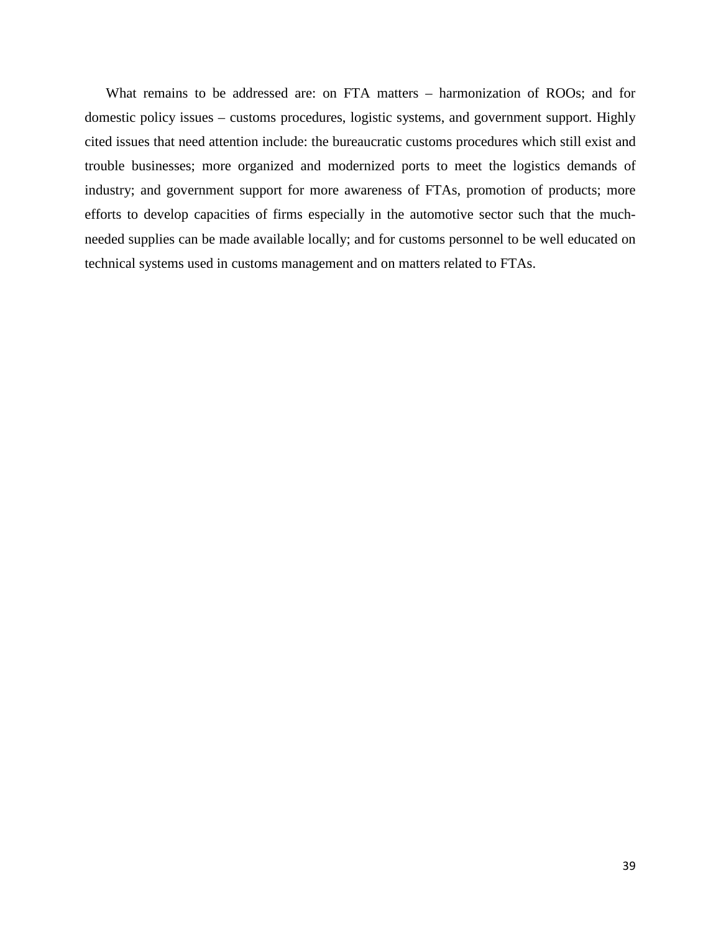What remains to be addressed are: on FTA matters – harmonization of ROOs; and for domestic policy issues – customs procedures, logistic systems, and government support. Highly cited issues that need attention include: the bureaucratic customs procedures which still exist and trouble businesses; more organized and modernized ports to meet the logistics demands of industry; and government support for more awareness of FTAs, promotion of products; more efforts to develop capacities of firms especially in the automotive sector such that the muchneeded supplies can be made available locally; and for customs personnel to be well educated on technical systems used in customs management and on matters related to FTAs.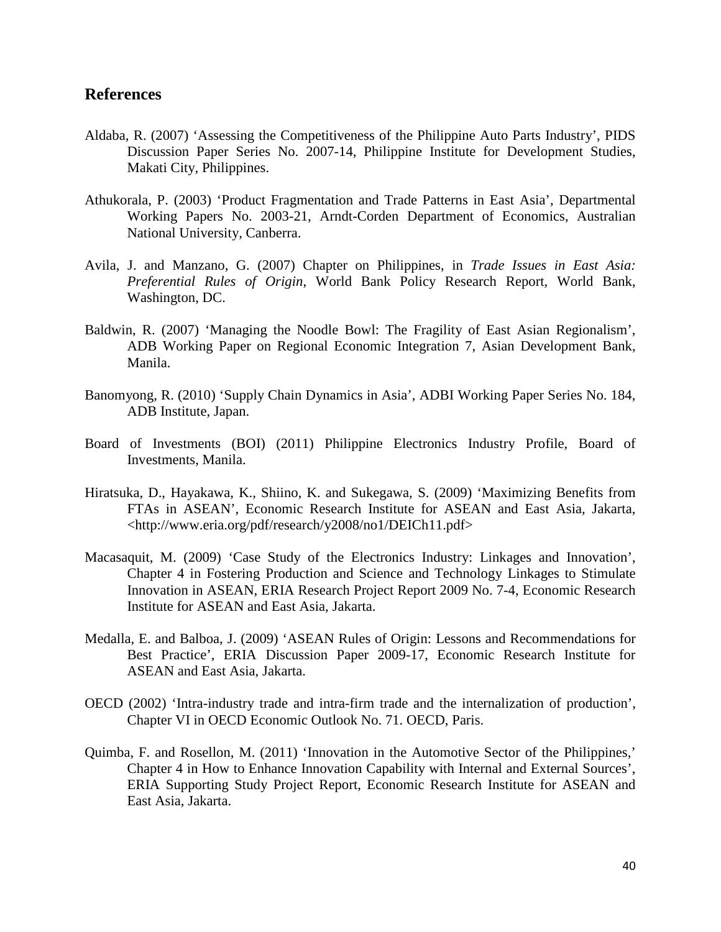# **References**

- Aldaba, R. (2007) 'Assessing the Competitiveness of the Philippine Auto Parts Industry', PIDS Discussion Paper Series No. 2007-14, Philippine Institute for Development Studies, Makati City, Philippines.
- Athukorala, P. (2003) 'Product Fragmentation and Trade Patterns in East Asia', Departmental Working Papers No. 2003-21, Arndt-Corden Department of Economics, Australian National University, Canberra.
- Avila, J. and Manzano, G. (2007) Chapter on Philippines, in *Trade Issues in East Asia: Preferential Rules of Origin*, World Bank Policy Research Report, World Bank, Washington, DC.
- Baldwin, R. (2007) 'Managing the Noodle Bowl: The Fragility of East Asian Regionalism', ADB Working Paper on Regional Economic Integration 7, Asian Development Bank, Manila.
- Banomyong, R. (2010) 'Supply Chain Dynamics in Asia', ADBI Working Paper Series No. 184, ADB Institute, Japan.
- Board of Investments (BOI) (2011) Philippine Electronics Industry Profile, Board of Investments, Manila.
- Hiratsuka, D., Hayakawa, K., Shiino, K. and Sukegawa, S. (2009) 'Maximizing Benefits from FTAs in ASEAN', Economic Research Institute for ASEAN and East Asia, Jakarta, <http://www.eria.org/pdf/research/y2008/no1/DEICh11.pdf>
- Macasaquit, M. (2009) 'Case Study of the Electronics Industry: Linkages and Innovation', Chapter 4 in Fostering Production and Science and Technology Linkages to Stimulate Innovation in ASEAN, ERIA Research Project Report 2009 No. 7-4, Economic Research Institute for ASEAN and East Asia, Jakarta.
- Medalla, E. and Balboa, J. (2009) 'ASEAN Rules of Origin: Lessons and Recommendations for Best Practice', ERIA Discussion Paper 2009-17, Economic Research Institute for ASEAN and East Asia, Jakarta.
- OECD (2002) 'Intra-industry trade and intra-firm trade and the internalization of production', Chapter VI in OECD Economic Outlook No. 71. OECD, Paris.
- Quimba, F. and Rosellon, M. (2011) 'Innovation in the Automotive Sector of the Philippines,' Chapter 4 in How to Enhance Innovation Capability with Internal and External Sources', ERIA Supporting Study Project Report, Economic Research Institute for ASEAN and East Asia, Jakarta.